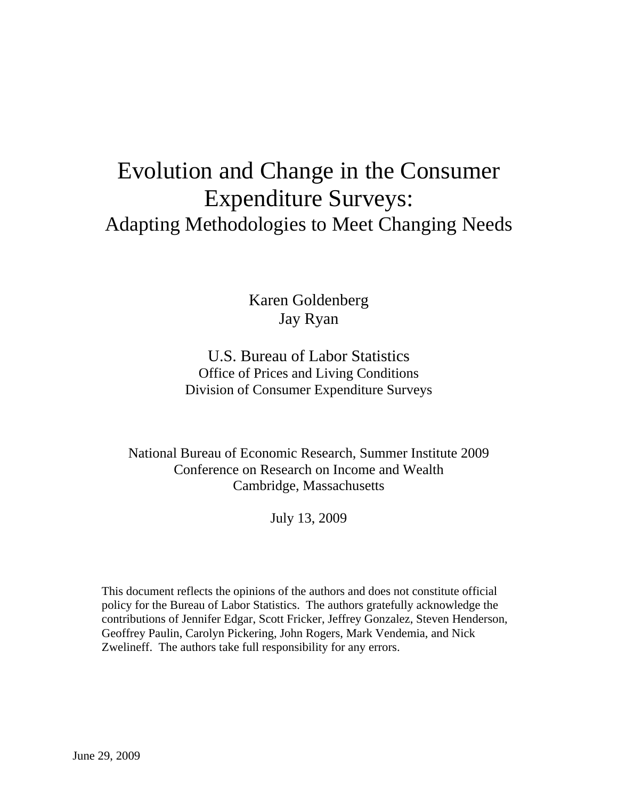# Evolution and Change in the Consumer Expenditure Surveys: Adapting Methodologies to Meet Changing Needs

Karen Goldenberg Jay Ryan

U.S. Bureau of Labor Statistics Office of Prices and Living Conditions Division of Consumer Expenditure Surveys

National Bureau of Economic Research, Summer Institute 2009 Conference on Research on Income and Wealth Cambridge, Massachusetts

July 13, 2009

This document reflects the opinions of the authors and does not constitute official policy for the Bureau of Labor Statistics. The authors gratefully acknowledge the contributions of Jennifer Edgar, Scott Fricker, Jeffrey Gonzalez, Steven Henderson, Geoffrey Paulin, Carolyn Pickering, John Rogers, Mark Vendemia, and Nick Zwelineff. The authors take full responsibility for any errors.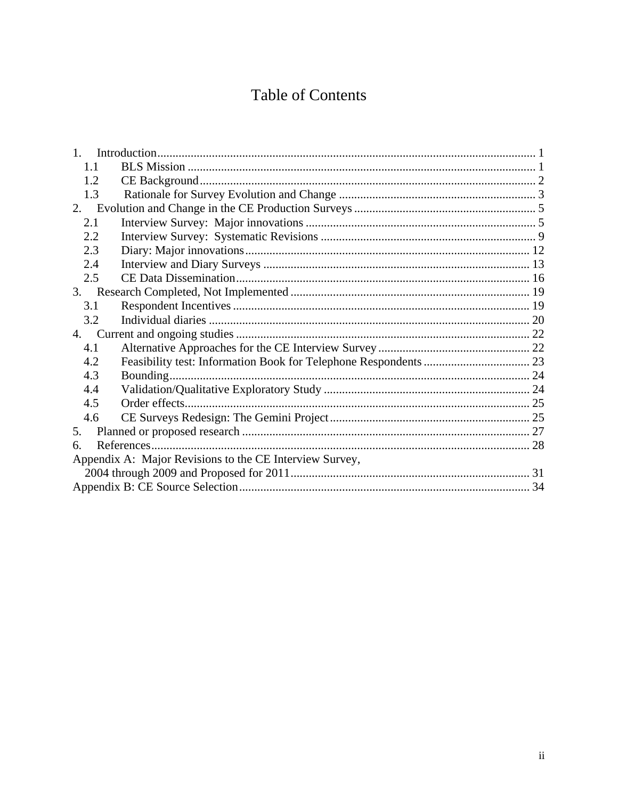# **Table of Contents**

| 1 <sup>1</sup>                                          |  |  |
|---------------------------------------------------------|--|--|
| 1.1                                                     |  |  |
| 1.2                                                     |  |  |
| 1.3                                                     |  |  |
| 2.                                                      |  |  |
| 2.1                                                     |  |  |
| 2.2                                                     |  |  |
| 2.3                                                     |  |  |
| 2.4                                                     |  |  |
| 2.5                                                     |  |  |
|                                                         |  |  |
| 3.1                                                     |  |  |
| 3.2                                                     |  |  |
|                                                         |  |  |
| 4.1                                                     |  |  |
| 4.2                                                     |  |  |
| 4.3                                                     |  |  |
| 4.4                                                     |  |  |
| 4.5                                                     |  |  |
| 4.6                                                     |  |  |
| 5.                                                      |  |  |
| 6.                                                      |  |  |
| Appendix A: Major Revisions to the CE Interview Survey, |  |  |
|                                                         |  |  |
|                                                         |  |  |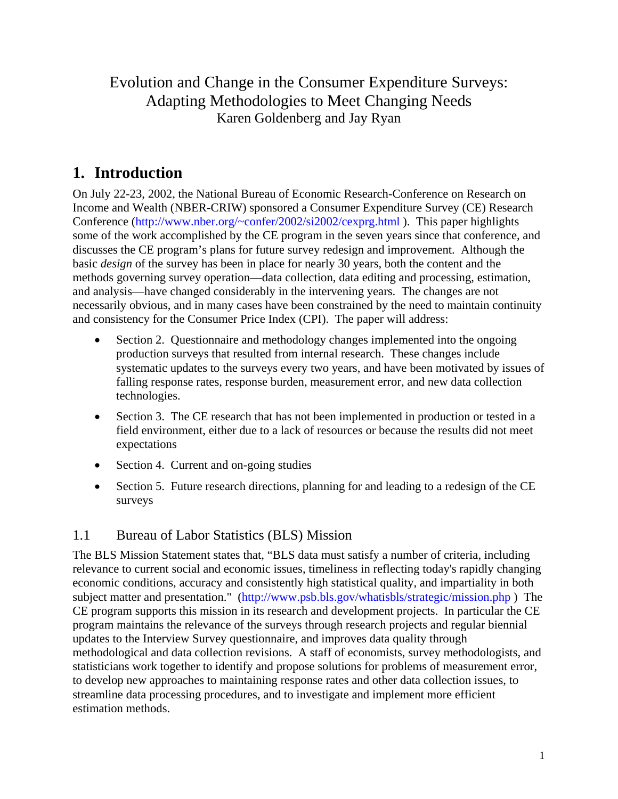Evolution and Change in the Consumer Expenditure Surveys: Adapting Methodologies to Meet Changing Needs Karen Goldenberg and Jay Ryan

# **1. Introduction**

On July 22-23, 2002, the National Bureau of Economic Research-Conference on Research on Income and Wealth (NBER-CRIW) sponsored a Consumer Expenditure Survey (CE) Research Conference (http://www.nber.org/~confer/2002/si2002/cexprg.html ). This paper highlights some of the work accomplished by the CE program in the seven years since that conference, and discusses the CE program's plans for future survey redesign and improvement. Although the basic *design* of the survey has been in place for nearly 30 years, both the content and the methods governing survey operation—data collection, data editing and processing, estimation, and analysis—have changed considerably in the intervening years. The changes are not necessarily obvious, and in many cases have been constrained by the need to maintain continuity and consistency for the Consumer Price Index (CPI). The paper will address:

- Section 2. Questionnaire and methodology changes implemented into the ongoing production surveys that resulted from internal research. These changes include systematic updates to the surveys every two years, and have been motivated by issues of falling response rates, response burden, measurement error, and new data collection technologies.
- Section 3. The CE research that has not been implemented in production or tested in a field environment, either due to a lack of resources or because the results did not meet expectations
- Section 4. Current and on-going studies
- Section 5. Future research directions, planning for and leading to a redesign of the CE surveys

#### 1.1 Bureau of Labor Statistics (BLS) Mission

The BLS Mission Statement states that, "BLS data must satisfy a number of criteria, including relevance to current social and economic issues, timeliness in reflecting today's rapidly changing economic conditions, accuracy and consistently high statistical quality, and impartiality in both subject matter and presentation." (http://www.psb.bls.gov/whatisbls/strategic/mission.php ) The CE program supports this mission in its research and development projects. In particular the CE program maintains the relevance of the surveys through research projects and regular biennial updates to the Interview Survey questionnaire, and improves data quality through methodological and data collection revisions. A staff of economists, survey methodologists, and statisticians work together to identify and propose solutions for problems of measurement error, to develop new approaches to maintaining response rates and other data collection issues, to streamline data processing procedures, and to investigate and implement more efficient estimation methods.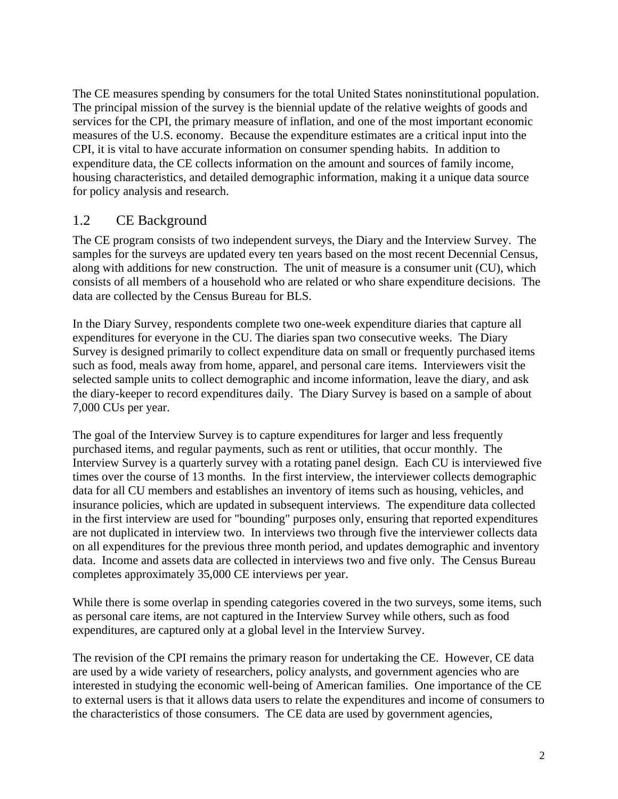The CE measures spending by consumers for the total United States noninstitutional population. The principal mission of the survey is the biennial update of the relative weights of goods and services for the CPI, the primary measure of inflation, and one of the most important economic measures of the U.S. economy. Because the expenditure estimates are a critical input into the CPI, it is vital to have accurate information on consumer spending habits. In addition to expenditure data, the CE collects information on the amount and sources of family income, housing characteristics, and detailed demographic information, making it a unique data source for policy analysis and research.

#### 1.2 CE Background

The CE program consists of two independent surveys, the Diary and the Interview Survey. The samples for the surveys are updated every ten years based on the most recent Decennial Census, along with additions for new construction. The unit of measure is a consumer unit (CU), which consists of all members of a household who are related or who share expenditure decisions. The data are collected by the Census Bureau for BLS.

In the Diary Survey, respondents complete two one-week expenditure diaries that capture all expenditures for everyone in the CU. The diaries span two consecutive weeks. The Diary Survey is designed primarily to collect expenditure data on small or frequently purchased items such as food, meals away from home, apparel, and personal care items. Interviewers visit the selected sample units to collect demographic and income information, leave the diary, and ask the diary-keeper to record expenditures daily. The Diary Survey is based on a sample of about 7,000 CUs per year.

The goal of the Interview Survey is to capture expenditures for larger and less frequently purchased items, and regular payments, such as rent or utilities, that occur monthly. The Interview Survey is a quarterly survey with a rotating panel design. Each CU is interviewed five times over the course of 13 months. In the first interview, the interviewer collects demographic data for all CU members and establishes an inventory of items such as housing, vehicles, and insurance policies, which are updated in subsequent interviews. The expenditure data collected in the first interview are used for "bounding" purposes only, ensuring that reported expenditures are not duplicated in interview two. In interviews two through five the interviewer collects data on all expenditures for the previous three month period, and updates demographic and inventory data. Income and assets data are collected in interviews two and five only. The Census Bureau completes approximately 35,000 CE interviews per year.

While there is some overlap in spending categories covered in the two surveys, some items, such as personal care items, are not captured in the Interview Survey while others, such as food expenditures, are captured only at a global level in the Interview Survey.

The revision of the CPI remains the primary reason for undertaking the CE. However, CE data are used by a wide variety of researchers, policy analysts, and government agencies who are interested in studying the economic well-being of American families. One importance of the CE to external users is that it allows data users to relate the expenditures and income of consumers to the characteristics of those consumers. The CE data are used by government agencies,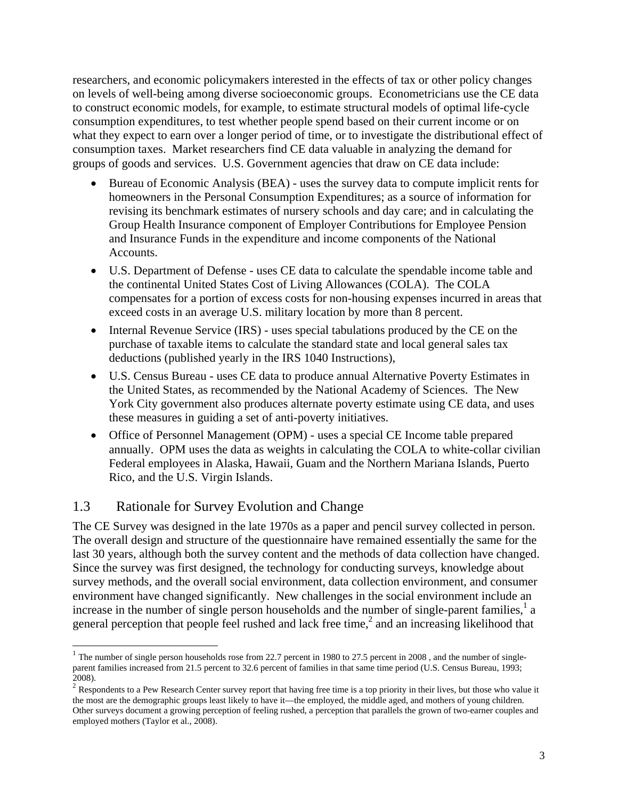researchers, and economic policymakers interested in the effects of tax or other policy changes on levels of well-being among diverse socioeconomic groups. Econometricians use the CE data to construct economic models, for example, to estimate structural models of optimal life-cycle consumption expenditures, to test whether people spend based on their current income or on what they expect to earn over a longer period of time, or to investigate the distributional effect of consumption taxes. Market researchers find CE data valuable in analyzing the demand for groups of goods and services. U.S. Government agencies that draw on CE data include:

- Bureau of Economic Analysis (BEA) uses the survey data to compute implicit rents for homeowners in the Personal Consumption Expenditures; as a source of information for revising its benchmark estimates of nursery schools and day care; and in calculating the Group Health Insurance component of Employer Contributions for Employee Pension and Insurance Funds in the expenditure and income components of the National Accounts.
- U.S. Department of Defense uses CE data to calculate the spendable income table and the continental United States Cost of Living Allowances (COLA). The COLA compensates for a portion of excess costs for non-housing expenses incurred in areas that exceed costs in an average U.S. military location by more than 8 percent.
- Internal Revenue Service (IRS) uses special tabulations produced by the CE on the purchase of taxable items to calculate the standard state and local general sales tax deductions (published yearly in the IRS 1040 Instructions),
- U.S. Census Bureau uses CE data to produce annual Alternative Poverty Estimates in the United States, as recommended by the National Academy of Sciences. The New York City government also produces alternate poverty estimate using CE data, and uses these measures in guiding a set of anti-poverty initiatives.
- Office of Personnel Management (OPM) uses a special CE Income table prepared annually. OPM uses the data as weights in calculating the COLA to white-collar civilian Federal employees in Alaska, Hawaii, Guam and the Northern Mariana Islands, Puerto Rico, and the U.S. Virgin Islands.

#### 1.3 Rationale for Survey Evolution and Change

The CE Survey was designed in the late 1970s as a paper and pencil survey collected in person. The overall design and structure of the questionnaire have remained essentially the same for the last 30 years, although both the survey content and the methods of data collection have changed. Since the survey was first designed, the technology for conducting surveys, knowledge about survey methods, and the overall social environment, data collection environment, and consumer environment have changed significantly. New challenges in the social environment include an increase in the number of single person households and the number of single-parent families, $<sup>1</sup>$  a</sup> general perception that people feel rushed and lack free time, $<sup>2</sup>$  and an increasing likelihood that</sup>

 $1$  The number of single person households rose from 22.7 percent in 1980 to 27.5 percent in 2008, and the number of singleparent families increased from 21.5 percent to 32.6 percent of families in that same time period (U.S. Census Bureau, 1993; 2008).

 $2$  Respondents to a Pew Research Center survey report that having free time is a top priority in their lives, but those who value it the most are the demographic groups least likely to have it—the employed, the middle aged, and mothers of young children. Other surveys document a growing perception of feeling rushed, a perception that parallels the grown of two-earner couples and employed mothers (Taylor et al., 2008).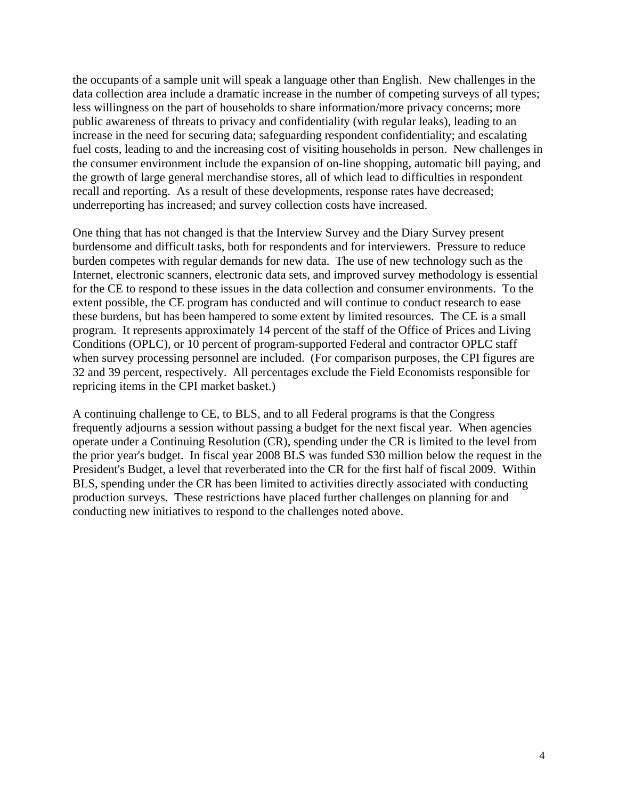the occupants of a sample unit will speak a language other than English. New challenges in the data collection area include a dramatic increase in the number of competing surveys of all types; less willingness on the part of households to share information/more privacy concerns; more public awareness of threats to privacy and confidentiality (with regular leaks), leading to an increase in the need for securing data; safeguarding respondent confidentiality; and escalating fuel costs, leading to and the increasing cost of visiting households in person. New challenges in the consumer environment include the expansion of on-line shopping, automatic bill paying, and the growth of large general merchandise stores, all of which lead to difficulties in respondent recall and reporting. As a result of these developments, response rates have decreased; underreporting has increased; and survey collection costs have increased.

One thing that has not changed is that the Interview Survey and the Diary Survey present burdensome and difficult tasks, both for respondents and for interviewers. Pressure to reduce burden competes with regular demands for new data. The use of new technology such as the Internet, electronic scanners, electronic data sets, and improved survey methodology is essential for the CE to respond to these issues in the data collection and consumer environments. To the extent possible, the CE program has conducted and will continue to conduct research to ease these burdens, but has been hampered to some extent by limited resources. The CE is a small program. It represents approximately 14 percent of the staff of the Office of Prices and Living Conditions (OPLC), or 10 percent of program-supported Federal and contractor OPLC staff when survey processing personnel are included. (For comparison purposes, the CPI figures are 32 and 39 percent, respectively. All percentages exclude the Field Economists responsible for repricing items in the CPI market basket.)

A continuing challenge to CE, to BLS, and to all Federal programs is that the Congress frequently adjourns a session without passing a budget for the next fiscal year. When agencies operate under a Continuing Resolution (CR), spending under the CR is limited to the level from the prior year's budget. In fiscal year 2008 BLS was funded \$30 million below the request in the President's Budget, a level that reverberated into the CR for the first half of fiscal 2009. Within BLS, spending under the CR has been limited to activities directly associated with conducting production surveys. These restrictions have placed further challenges on planning for and conducting new initiatives to respond to the challenges noted above.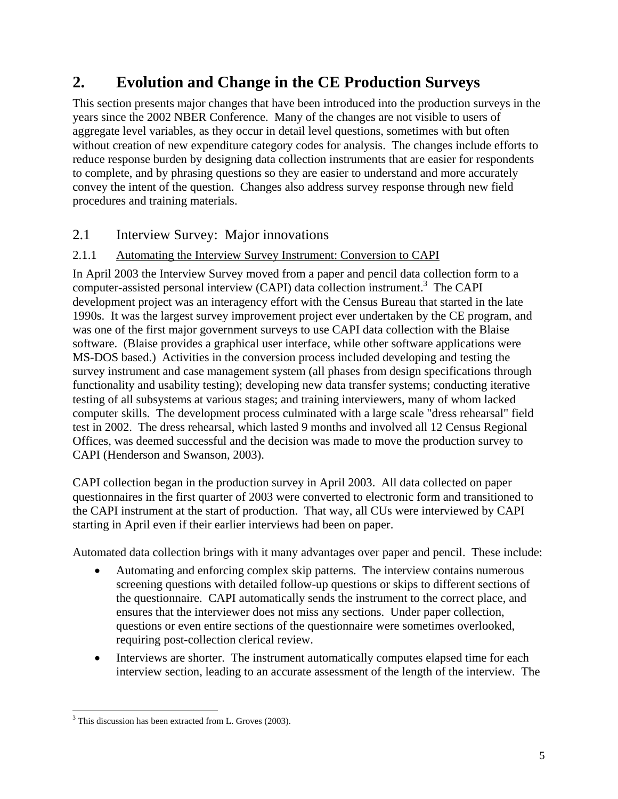# **2. Evolution and Change in the CE Production Surveys**

This section presents major changes that have been introduced into the production surveys in the years since the 2002 NBER Conference. Many of the changes are not visible to users of aggregate level variables, as they occur in detail level questions, sometimes with but often without creation of new expenditure category codes for analysis. The changes include efforts to reduce response burden by designing data collection instruments that are easier for respondents to complete, and by phrasing questions so they are easier to understand and more accurately convey the intent of the question. Changes also address survey response through new field procedures and training materials.

### 2.1 Interview Survey: Major innovations

#### 2.1.1 Automating the Interview Survey Instrument: Conversion to CAPI

In April 2003 the Interview Survey moved from a paper and pencil data collection form to a computer-assisted personal interview (CAPI) data collection instrument.<sup>3</sup> The CAPI development project was an interagency effort with the Census Bureau that started in the late 1990s. It was the largest survey improvement project ever undertaken by the CE program, and was one of the first major government surveys to use CAPI data collection with the Blaise software. (Blaise provides a graphical user interface, while other software applications were MS-DOS based.) Activities in the conversion process included developing and testing the survey instrument and case management system (all phases from design specifications through functionality and usability testing); developing new data transfer systems; conducting iterative testing of all subsystems at various stages; and training interviewers, many of whom lacked computer skills. The development process culminated with a large scale "dress rehearsal" field test in 2002. The dress rehearsal, which lasted 9 months and involved all 12 Census Regional Offices, was deemed successful and the decision was made to move the production survey to CAPI (Henderson and Swanson, 2003).

CAPI collection began in the production survey in April 2003. All data collected on paper questionnaires in the first quarter of 2003 were converted to electronic form and transitioned to the CAPI instrument at the start of production. That way, all CUs were interviewed by CAPI starting in April even if their earlier interviews had been on paper.

Automated data collection brings with it many advantages over paper and pencil. These include:

- Automating and enforcing complex skip patterns. The interview contains numerous screening questions with detailed follow-up questions or skips to different sections of the questionnaire. CAPI automatically sends the instrument to the correct place, and ensures that the interviewer does not miss any sections. Under paper collection, questions or even entire sections of the questionnaire were sometimes overlooked, requiring post-collection clerical review.
- Interviews are shorter. The instrument automatically computes elapsed time for each interview section, leading to an accurate assessment of the length of the interview. The

 <sup>3</sup> This discussion has been extracted from L. Groves (2003).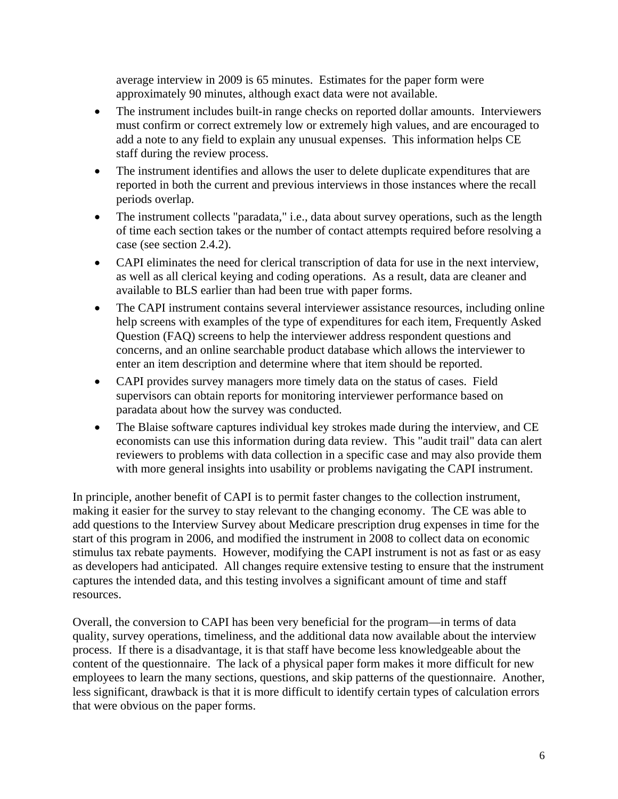average interview in 2009 is 65 minutes. Estimates for the paper form were approximately 90 minutes, although exact data were not available.

- The instrument includes built-in range checks on reported dollar amounts. Interviewers must confirm or correct extremely low or extremely high values, and are encouraged to add a note to any field to explain any unusual expenses. This information helps CE staff during the review process.
- The instrument identifies and allows the user to delete duplicate expenditures that are reported in both the current and previous interviews in those instances where the recall periods overlap.
- The instrument collects "paradata," i.e., data about survey operations, such as the length of time each section takes or the number of contact attempts required before resolving a case (see section 2.4.2).
- CAPI eliminates the need for clerical transcription of data for use in the next interview, as well as all clerical keying and coding operations. As a result, data are cleaner and available to BLS earlier than had been true with paper forms.
- The CAPI instrument contains several interviewer assistance resources, including online help screens with examples of the type of expenditures for each item, Frequently Asked Question (FAQ) screens to help the interviewer address respondent questions and concerns, and an online searchable product database which allows the interviewer to enter an item description and determine where that item should be reported.
- CAPI provides survey managers more timely data on the status of cases. Field supervisors can obtain reports for monitoring interviewer performance based on paradata about how the survey was conducted.
- The Blaise software captures individual key strokes made during the interview, and CE economists can use this information during data review. This "audit trail" data can alert reviewers to problems with data collection in a specific case and may also provide them with more general insights into usability or problems navigating the CAPI instrument.

In principle, another benefit of CAPI is to permit faster changes to the collection instrument, making it easier for the survey to stay relevant to the changing economy. The CE was able to add questions to the Interview Survey about Medicare prescription drug expenses in time for the start of this program in 2006, and modified the instrument in 2008 to collect data on economic stimulus tax rebate payments. However, modifying the CAPI instrument is not as fast or as easy as developers had anticipated. All changes require extensive testing to ensure that the instrument captures the intended data, and this testing involves a significant amount of time and staff resources.

Overall, the conversion to CAPI has been very beneficial for the program—in terms of data quality, survey operations, timeliness, and the additional data now available about the interview process. If there is a disadvantage, it is that staff have become less knowledgeable about the content of the questionnaire. The lack of a physical paper form makes it more difficult for new employees to learn the many sections, questions, and skip patterns of the questionnaire. Another, less significant, drawback is that it is more difficult to identify certain types of calculation errors that were obvious on the paper forms.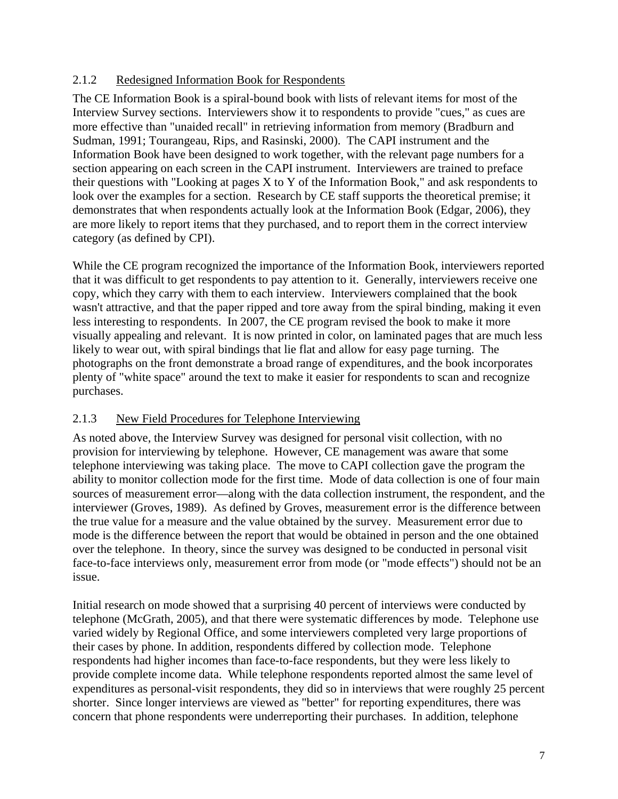#### 2.1.2 Redesigned Information Book for Respondents

The CE Information Book is a spiral-bound book with lists of relevant items for most of the Interview Survey sections. Interviewers show it to respondents to provide "cues," as cues are more effective than "unaided recall" in retrieving information from memory (Bradburn and Sudman, 1991; Tourangeau, Rips, and Rasinski, 2000). The CAPI instrument and the Information Book have been designed to work together, with the relevant page numbers for a section appearing on each screen in the CAPI instrument. Interviewers are trained to preface their questions with "Looking at pages X to Y of the Information Book," and ask respondents to look over the examples for a section. Research by CE staff supports the theoretical premise; it demonstrates that when respondents actually look at the Information Book (Edgar, 2006), they are more likely to report items that they purchased, and to report them in the correct interview category (as defined by CPI).

While the CE program recognized the importance of the Information Book, interviewers reported that it was difficult to get respondents to pay attention to it. Generally, interviewers receive one copy, which they carry with them to each interview. Interviewers complained that the book wasn't attractive, and that the paper ripped and tore away from the spiral binding, making it even less interesting to respondents. In 2007, the CE program revised the book to make it more visually appealing and relevant. It is now printed in color, on laminated pages that are much less likely to wear out, with spiral bindings that lie flat and allow for easy page turning. The photographs on the front demonstrate a broad range of expenditures, and the book incorporates plenty of "white space" around the text to make it easier for respondents to scan and recognize purchases.

#### 2.1.3 New Field Procedures for Telephone Interviewing

As noted above, the Interview Survey was designed for personal visit collection, with no provision for interviewing by telephone. However, CE management was aware that some telephone interviewing was taking place. The move to CAPI collection gave the program the ability to monitor collection mode for the first time. Mode of data collection is one of four main sources of measurement error—along with the data collection instrument, the respondent, and the interviewer (Groves, 1989). As defined by Groves, measurement error is the difference between the true value for a measure and the value obtained by the survey. Measurement error due to mode is the difference between the report that would be obtained in person and the one obtained over the telephone. In theory, since the survey was designed to be conducted in personal visit face-to-face interviews only, measurement error from mode (or "mode effects") should not be an issue.

Initial research on mode showed that a surprising 40 percent of interviews were conducted by telephone (McGrath, 2005), and that there were systematic differences by mode. Telephone use varied widely by Regional Office, and some interviewers completed very large proportions of their cases by phone. In addition, respondents differed by collection mode. Telephone respondents had higher incomes than face-to-face respondents, but they were less likely to provide complete income data. While telephone respondents reported almost the same level of expenditures as personal-visit respondents, they did so in interviews that were roughly 25 percent shorter. Since longer interviews are viewed as "better" for reporting expenditures, there was concern that phone respondents were underreporting their purchases. In addition, telephone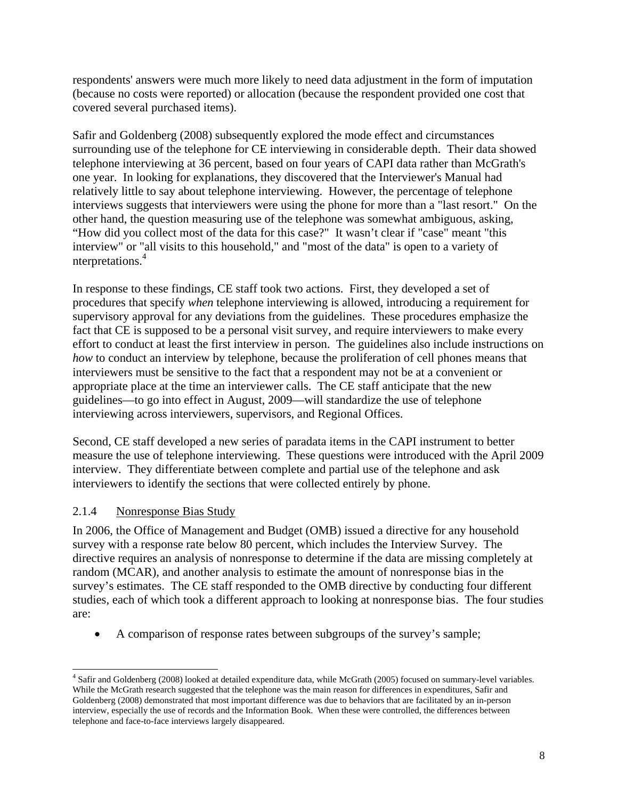respondents' answers were much more likely to need data adjustment in the form of imputation (because no costs were reported) or allocation (because the respondent provided one cost that covered several purchased items).

Safir and Goldenberg (2008) subsequently explored the mode effect and circumstances surrounding use of the telephone for CE interviewing in considerable depth. Their data showed telephone interviewing at 36 percent, based on four years of CAPI data rather than McGrath's one year. In looking for explanations, they discovered that the Interviewer's Manual had relatively little to say about telephone interviewing. However, the percentage of telephone interviews suggests that interviewers were using the phone for more than a "last resort." On the other hand, the question measuring use of the telephone was somewhat ambiguous, asking, "How did you collect most of the data for this case?" It wasn't clear if "case" meant "this interview" or "all visits to this household," and "most of the data" is open to a variety of nterpretations.4

In response to these findings, CE staff took two actions. First, they developed a set of procedures that specify *when* telephone interviewing is allowed, introducing a requirement for supervisory approval for any deviations from the guidelines. These procedures emphasize the fact that CE is supposed to be a personal visit survey, and require interviewers to make every effort to conduct at least the first interview in person. The guidelines also include instructions on *how* to conduct an interview by telephone, because the proliferation of cell phones means that interviewers must be sensitive to the fact that a respondent may not be at a convenient or appropriate place at the time an interviewer calls. The CE staff anticipate that the new guidelines—to go into effect in August, 2009—will standardize the use of telephone interviewing across interviewers, supervisors, and Regional Offices.

Second, CE staff developed a new series of paradata items in the CAPI instrument to better measure the use of telephone interviewing. These questions were introduced with the April 2009 interview. They differentiate between complete and partial use of the telephone and ask interviewers to identify the sections that were collected entirely by phone.

#### 2.1.4 Nonresponse Bias Study

In 2006, the Office of Management and Budget (OMB) issued a directive for any household survey with a response rate below 80 percent, which includes the Interview Survey. The directive requires an analysis of nonresponse to determine if the data are missing completely at random (MCAR), and another analysis to estimate the amount of nonresponse bias in the survey's estimates. The CE staff responded to the OMB directive by conducting four different studies, each of which took a different approach to looking at nonresponse bias. The four studies are:

A comparison of response rates between subgroups of the survey's sample;

 $\overline{a}$ 4 Safir and Goldenberg (2008) looked at detailed expenditure data, while McGrath (2005) focused on summary-level variables. While the McGrath research suggested that the telephone was the main reason for differences in expenditures, Safir and Goldenberg (2008) demonstrated that most important difference was due to behaviors that are facilitated by an in-person interview, especially the use of records and the Information Book. When these were controlled, the differences between telephone and face-to-face interviews largely disappeared.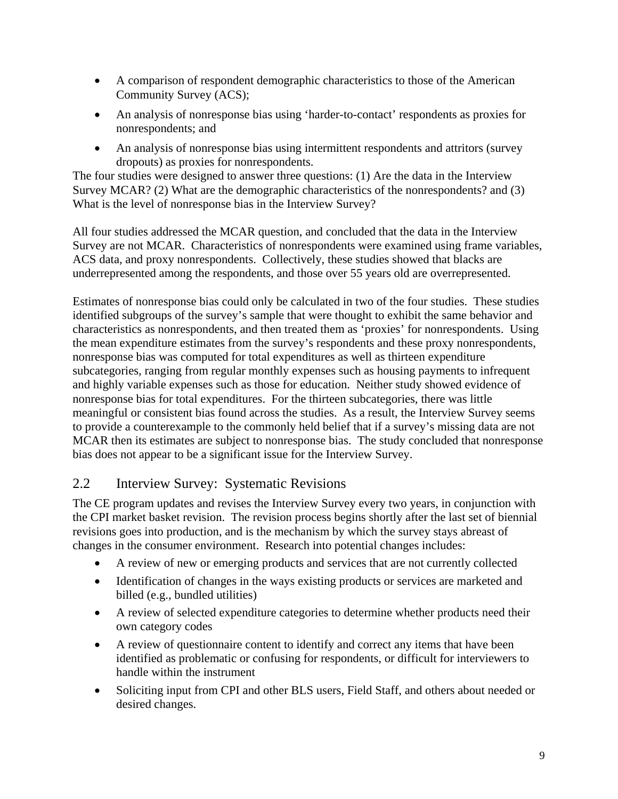- A comparison of respondent demographic characteristics to those of the American Community Survey (ACS);
- An analysis of nonresponse bias using 'harder-to-contact' respondents as proxies for nonrespondents; and
- An analysis of nonresponse bias using intermittent respondents and attritors (survey dropouts) as proxies for nonrespondents.

The four studies were designed to answer three questions: (1) Are the data in the Interview Survey MCAR? (2) What are the demographic characteristics of the nonrespondents? and (3) What is the level of nonresponse bias in the Interview Survey?

All four studies addressed the MCAR question, and concluded that the data in the Interview Survey are not MCAR. Characteristics of nonrespondents were examined using frame variables, ACS data, and proxy nonrespondents. Collectively, these studies showed that blacks are underrepresented among the respondents, and those over 55 years old are overrepresented.

Estimates of nonresponse bias could only be calculated in two of the four studies. These studies identified subgroups of the survey's sample that were thought to exhibit the same behavior and characteristics as nonrespondents, and then treated them as 'proxies' for nonrespondents. Using the mean expenditure estimates from the survey's respondents and these proxy nonrespondents, nonresponse bias was computed for total expenditures as well as thirteen expenditure subcategories, ranging from regular monthly expenses such as housing payments to infrequent and highly variable expenses such as those for education. Neither study showed evidence of nonresponse bias for total expenditures. For the thirteen subcategories, there was little meaningful or consistent bias found across the studies. As a result, the Interview Survey seems to provide a counterexample to the commonly held belief that if a survey's missing data are not MCAR then its estimates are subject to nonresponse bias. The study concluded that nonresponse bias does not appear to be a significant issue for the Interview Survey.

#### 2.2 Interview Survey: Systematic Revisions

The CE program updates and revises the Interview Survey every two years, in conjunction with the CPI market basket revision. The revision process begins shortly after the last set of biennial revisions goes into production, and is the mechanism by which the survey stays abreast of changes in the consumer environment. Research into potential changes includes:

- A review of new or emerging products and services that are not currently collected
- Identification of changes in the ways existing products or services are marketed and billed (e.g., bundled utilities)
- A review of selected expenditure categories to determine whether products need their own category codes
- A review of questionnaire content to identify and correct any items that have been identified as problematic or confusing for respondents, or difficult for interviewers to handle within the instrument
- Soliciting input from CPI and other BLS users, Field Staff, and others about needed or desired changes.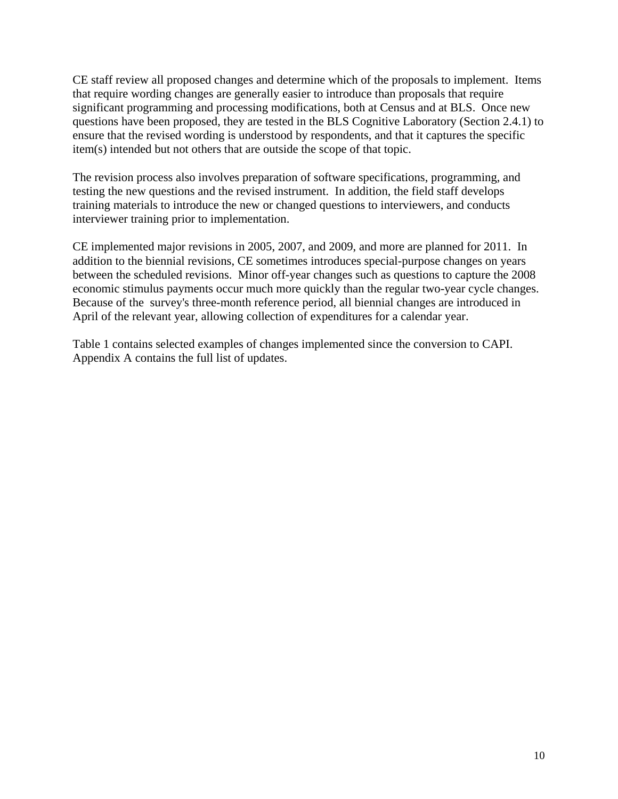CE staff review all proposed changes and determine which of the proposals to implement. Items that require wording changes are generally easier to introduce than proposals that require significant programming and processing modifications, both at Census and at BLS. Once new questions have been proposed, they are tested in the BLS Cognitive Laboratory (Section 2.4.1) to ensure that the revised wording is understood by respondents, and that it captures the specific item(s) intended but not others that are outside the scope of that topic.

The revision process also involves preparation of software specifications, programming, and testing the new questions and the revised instrument. In addition, the field staff develops training materials to introduce the new or changed questions to interviewers, and conducts interviewer training prior to implementation.

CE implemented major revisions in 2005, 2007, and 2009, and more are planned for 2011. In addition to the biennial revisions, CE sometimes introduces special-purpose changes on years between the scheduled revisions. Minor off-year changes such as questions to capture the 2008 economic stimulus payments occur much more quickly than the regular two-year cycle changes. Because of the survey's three-month reference period, all biennial changes are introduced in April of the relevant year, allowing collection of expenditures for a calendar year.

Table 1 contains selected examples of changes implemented since the conversion to CAPI. Appendix A contains the full list of updates.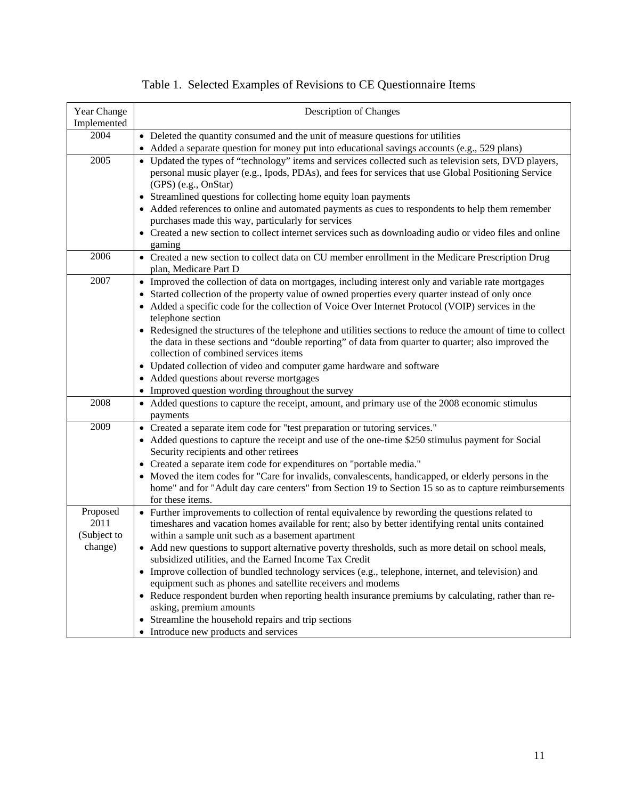| Year Change<br>Implemented                 | Description of Changes                                                                                                                                                                                                                                                                                                                                                                                                                                                                                                                                                                                                                                                                                                                                                                                                             |
|--------------------------------------------|------------------------------------------------------------------------------------------------------------------------------------------------------------------------------------------------------------------------------------------------------------------------------------------------------------------------------------------------------------------------------------------------------------------------------------------------------------------------------------------------------------------------------------------------------------------------------------------------------------------------------------------------------------------------------------------------------------------------------------------------------------------------------------------------------------------------------------|
| 2004                                       | • Deleted the quantity consumed and the unit of measure questions for utilities<br>• Added a separate question for money put into educational savings accounts (e.g., 529 plans)                                                                                                                                                                                                                                                                                                                                                                                                                                                                                                                                                                                                                                                   |
| 2005                                       | • Updated the types of "technology" items and services collected such as television sets, DVD players,<br>personal music player (e.g., Ipods, PDAs), and fees for services that use Global Positioning Service<br>(GPS) (e.g., OnStar)<br>• Streamlined questions for collecting home equity loan payments<br>• Added references to online and automated payments as cues to respondents to help them remember<br>purchases made this way, particularly for services<br>• Created a new section to collect internet services such as downloading audio or video files and online<br>gaming                                                                                                                                                                                                                                         |
| 2006                                       | • Created a new section to collect data on CU member enrollment in the Medicare Prescription Drug<br>plan, Medicare Part D                                                                                                                                                                                                                                                                                                                                                                                                                                                                                                                                                                                                                                                                                                         |
| 2007                                       | • Improved the collection of data on mortgages, including interest only and variable rate mortgages<br>• Started collection of the property value of owned properties every quarter instead of only once<br>• Added a specific code for the collection of Voice Over Internet Protocol (VOIP) services in the<br>telephone section<br>• Redesigned the structures of the telephone and utilities sections to reduce the amount of time to collect<br>the data in these sections and "double reporting" of data from quarter to quarter; also improved the<br>collection of combined services items<br>• Updated collection of video and computer game hardware and software<br>• Added questions about reverse mortgages<br>• Improved question wording throughout the survey                                                      |
| 2008                                       | • Added questions to capture the receipt, amount, and primary use of the 2008 economic stimulus<br>payments                                                                                                                                                                                                                                                                                                                                                                                                                                                                                                                                                                                                                                                                                                                        |
| 2009                                       | • Created a separate item code for "test preparation or tutoring services."<br>• Added questions to capture the receipt and use of the one-time \$250 stimulus payment for Social<br>Security recipients and other retirees<br>• Created a separate item code for expenditures on "portable media."<br>• Moved the item codes for "Care for invalids, convalescents, handicapped, or elderly persons in the<br>home" and for "Adult day care centers" from Section 19 to Section 15 so as to capture reimbursements<br>for these items.                                                                                                                                                                                                                                                                                            |
| Proposed<br>2011<br>(Subject to<br>change) | • Further improvements to collection of rental equivalence by rewording the questions related to<br>timeshares and vacation homes available for rent; also by better identifying rental units contained<br>within a sample unit such as a basement apartment<br>• Add new questions to support alternative poverty thresholds, such as more detail on school meals,<br>subsidized utilities, and the Earned Income Tax Credit<br>• Improve collection of bundled technology services (e.g., telephone, internet, and television) and<br>equipment such as phones and satellite receivers and modems<br>• Reduce respondent burden when reporting health insurance premiums by calculating, rather than re-<br>asking, premium amounts<br>Streamline the household repairs and trip sections<br>Introduce new products and services |

# Table 1. Selected Examples of Revisions to CE Questionnaire Items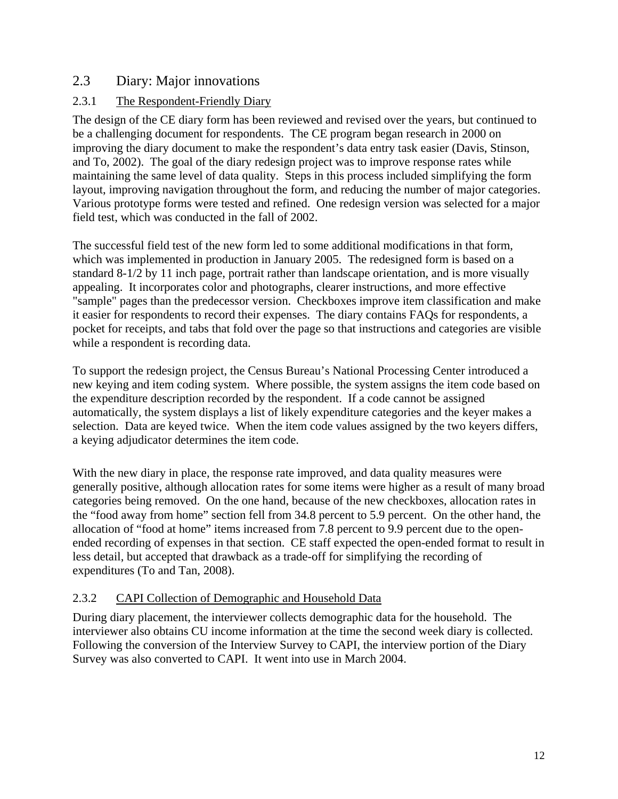#### 2.3 Diary: Major innovations

#### 2.3.1 The Respondent-Friendly Diary

The design of the CE diary form has been reviewed and revised over the years, but continued to be a challenging document for respondents. The CE program began research in 2000 on improving the diary document to make the respondent's data entry task easier (Davis, Stinson, and To, 2002). The goal of the diary redesign project was to improve response rates while maintaining the same level of data quality. Steps in this process included simplifying the form layout, improving navigation throughout the form, and reducing the number of major categories. Various prototype forms were tested and refined. One redesign version was selected for a major field test, which was conducted in the fall of 2002.

The successful field test of the new form led to some additional modifications in that form, which was implemented in production in January 2005. The redesigned form is based on a standard 8-1/2 by 11 inch page, portrait rather than landscape orientation, and is more visually appealing. It incorporates color and photographs, clearer instructions, and more effective "sample" pages than the predecessor version. Checkboxes improve item classification and make it easier for respondents to record their expenses. The diary contains FAQs for respondents, a pocket for receipts, and tabs that fold over the page so that instructions and categories are visible while a respondent is recording data.

To support the redesign project, the Census Bureau's National Processing Center introduced a new keying and item coding system. Where possible, the system assigns the item code based on the expenditure description recorded by the respondent. If a code cannot be assigned automatically, the system displays a list of likely expenditure categories and the keyer makes a selection. Data are keyed twice. When the item code values assigned by the two keyers differs, a keying adjudicator determines the item code.

With the new diary in place, the response rate improved, and data quality measures were generally positive, although allocation rates for some items were higher as a result of many broad categories being removed. On the one hand, because of the new checkboxes, allocation rates in the "food away from home" section fell from 34.8 percent to 5.9 percent. On the other hand, the allocation of "food at home" items increased from 7.8 percent to 9.9 percent due to the openended recording of expenses in that section. CE staff expected the open-ended format to result in less detail, but accepted that drawback as a trade-off for simplifying the recording of expenditures (To and Tan, 2008).

#### 2.3.2 CAPI Collection of Demographic and Household Data

During diary placement, the interviewer collects demographic data for the household. The interviewer also obtains CU income information at the time the second week diary is collected. Following the conversion of the Interview Survey to CAPI, the interview portion of the Diary Survey was also converted to CAPI. It went into use in March 2004.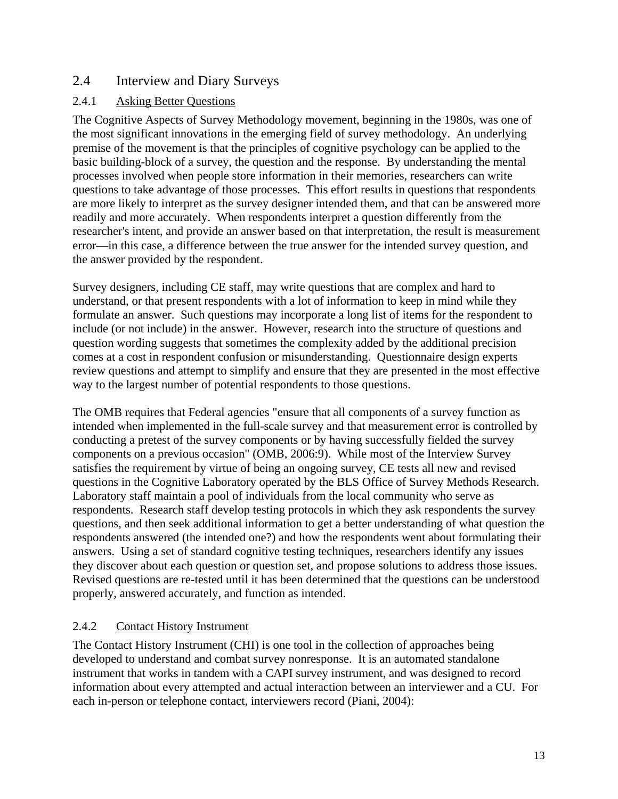#### 2.4 Interview and Diary Surveys

#### 2.4.1 Asking Better Questions

The Cognitive Aspects of Survey Methodology movement, beginning in the 1980s, was one of the most significant innovations in the emerging field of survey methodology. An underlying premise of the movement is that the principles of cognitive psychology can be applied to the basic building-block of a survey, the question and the response. By understanding the mental processes involved when people store information in their memories, researchers can write questions to take advantage of those processes. This effort results in questions that respondents are more likely to interpret as the survey designer intended them, and that can be answered more readily and more accurately. When respondents interpret a question differently from the researcher's intent, and provide an answer based on that interpretation, the result is measurement error—in this case, a difference between the true answer for the intended survey question, and the answer provided by the respondent.

Survey designers, including CE staff, may write questions that are complex and hard to understand, or that present respondents with a lot of information to keep in mind while they formulate an answer. Such questions may incorporate a long list of items for the respondent to include (or not include) in the answer. However, research into the structure of questions and question wording suggests that sometimes the complexity added by the additional precision comes at a cost in respondent confusion or misunderstanding. Questionnaire design experts review questions and attempt to simplify and ensure that they are presented in the most effective way to the largest number of potential respondents to those questions.

The OMB requires that Federal agencies "ensure that all components of a survey function as intended when implemented in the full-scale survey and that measurement error is controlled by conducting a pretest of the survey components or by having successfully fielded the survey components on a previous occasion" (OMB, 2006:9). While most of the Interview Survey satisfies the requirement by virtue of being an ongoing survey, CE tests all new and revised questions in the Cognitive Laboratory operated by the BLS Office of Survey Methods Research. Laboratory staff maintain a pool of individuals from the local community who serve as respondents. Research staff develop testing protocols in which they ask respondents the survey questions, and then seek additional information to get a better understanding of what question the respondents answered (the intended one?) and how the respondents went about formulating their answers. Using a set of standard cognitive testing techniques, researchers identify any issues they discover about each question or question set, and propose solutions to address those issues. Revised questions are re-tested until it has been determined that the questions can be understood properly, answered accurately, and function as intended.

#### 2.4.2 Contact History Instrument

The Contact History Instrument (CHI) is one tool in the collection of approaches being developed to understand and combat survey nonresponse. It is an automated standalone instrument that works in tandem with a CAPI survey instrument, and was designed to record information about every attempted and actual interaction between an interviewer and a CU. For each in-person or telephone contact, interviewers record (Piani, 2004):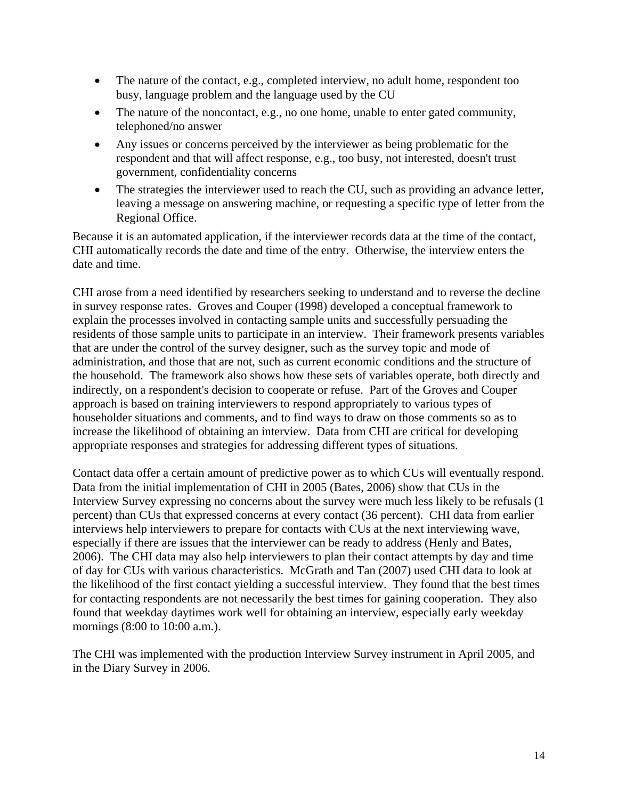- The nature of the contact, e.g., completed interview, no adult home, respondent too busy, language problem and the language used by the CU
- The nature of the noncontact, e.g., no one home, unable to enter gated community, telephoned/no answer
- Any issues or concerns perceived by the interviewer as being problematic for the respondent and that will affect response, e.g., too busy, not interested, doesn't trust government, confidentiality concerns
- The strategies the interviewer used to reach the CU, such as providing an advance letter, leaving a message on answering machine, or requesting a specific type of letter from the Regional Office.

Because it is an automated application, if the interviewer records data at the time of the contact, CHI automatically records the date and time of the entry. Otherwise, the interview enters the date and time.

CHI arose from a need identified by researchers seeking to understand and to reverse the decline in survey response rates. Groves and Couper (1998) developed a conceptual framework to explain the processes involved in contacting sample units and successfully persuading the residents of those sample units to participate in an interview. Their framework presents variables that are under the control of the survey designer, such as the survey topic and mode of administration, and those that are not, such as current economic conditions and the structure of the household. The framework also shows how these sets of variables operate, both directly and indirectly, on a respondent's decision to cooperate or refuse. Part of the Groves and Couper approach is based on training interviewers to respond appropriately to various types of householder situations and comments, and to find ways to draw on those comments so as to increase the likelihood of obtaining an interview. Data from CHI are critical for developing appropriate responses and strategies for addressing different types of situations.

Contact data offer a certain amount of predictive power as to which CUs will eventually respond. Data from the initial implementation of CHI in 2005 (Bates, 2006) show that CUs in the Interview Survey expressing no concerns about the survey were much less likely to be refusals (1 percent) than CUs that expressed concerns at every contact (36 percent). CHI data from earlier interviews help interviewers to prepare for contacts with CUs at the next interviewing wave, especially if there are issues that the interviewer can be ready to address (Henly and Bates, 2006). The CHI data may also help interviewers to plan their contact attempts by day and time of day for CUs with various characteristics. McGrath and Tan (2007) used CHI data to look at the likelihood of the first contact yielding a successful interview. They found that the best times for contacting respondents are not necessarily the best times for gaining cooperation. They also found that weekday daytimes work well for obtaining an interview, especially early weekday mornings (8:00 to 10:00 a.m.).

The CHI was implemented with the production Interview Survey instrument in April 2005, and in the Diary Survey in 2006.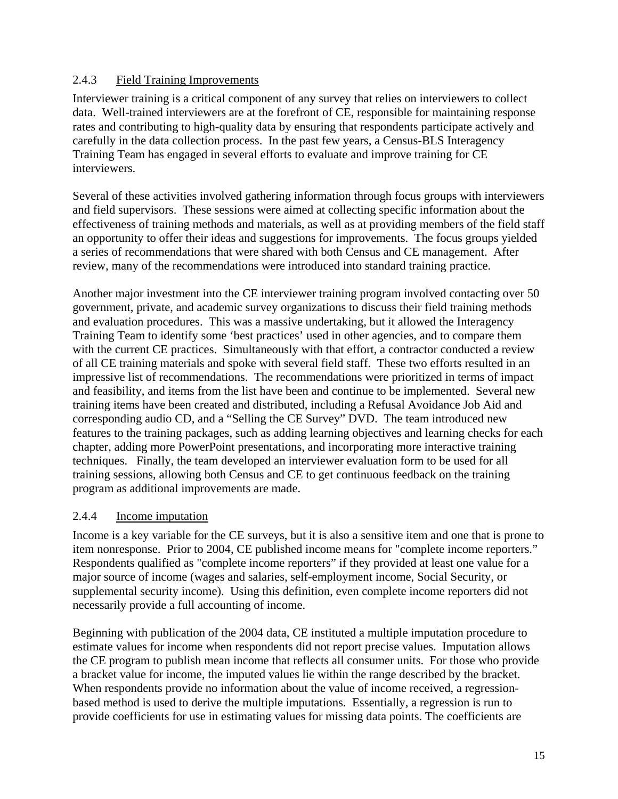#### 2.4.3 Field Training Improvements

Interviewer training is a critical component of any survey that relies on interviewers to collect data. Well-trained interviewers are at the forefront of CE, responsible for maintaining response rates and contributing to high-quality data by ensuring that respondents participate actively and carefully in the data collection process. In the past few years, a Census-BLS Interagency Training Team has engaged in several efforts to evaluate and improve training for CE interviewers.

Several of these activities involved gathering information through focus groups with interviewers and field supervisors. These sessions were aimed at collecting specific information about the effectiveness of training methods and materials, as well as at providing members of the field staff an opportunity to offer their ideas and suggestions for improvements. The focus groups yielded a series of recommendations that were shared with both Census and CE management. After review, many of the recommendations were introduced into standard training practice.

Another major investment into the CE interviewer training program involved contacting over 50 government, private, and academic survey organizations to discuss their field training methods and evaluation procedures. This was a massive undertaking, but it allowed the Interagency Training Team to identify some 'best practices' used in other agencies, and to compare them with the current CE practices. Simultaneously with that effort, a contractor conducted a review of all CE training materials and spoke with several field staff. These two efforts resulted in an impressive list of recommendations. The recommendations were prioritized in terms of impact and feasibility, and items from the list have been and continue to be implemented. Several new training items have been created and distributed, including a Refusal Avoidance Job Aid and corresponding audio CD, and a "Selling the CE Survey" DVD. The team introduced new features to the training packages, such as adding learning objectives and learning checks for each chapter, adding more PowerPoint presentations, and incorporating more interactive training techniques. Finally, the team developed an interviewer evaluation form to be used for all training sessions, allowing both Census and CE to get continuous feedback on the training program as additional improvements are made.

#### 2.4.4 Income imputation

Income is a key variable for the CE surveys, but it is also a sensitive item and one that is prone to item nonresponse. Prior to 2004, CE published income means for "complete income reporters." Respondents qualified as "complete income reporters" if they provided at least one value for a major source of income (wages and salaries, self-employment income, Social Security, or supplemental security income). Using this definition, even complete income reporters did not necessarily provide a full accounting of income.

Beginning with publication of the 2004 data, CE instituted a multiple imputation procedure to estimate values for income when respondents did not report precise values. Imputation allows the CE program to publish mean income that reflects all consumer units. For those who provide a bracket value for income, the imputed values lie within the range described by the bracket. When respondents provide no information about the value of income received, a regressionbased method is used to derive the multiple imputations. Essentially, a regression is run to provide coefficients for use in estimating values for missing data points. The coefficients are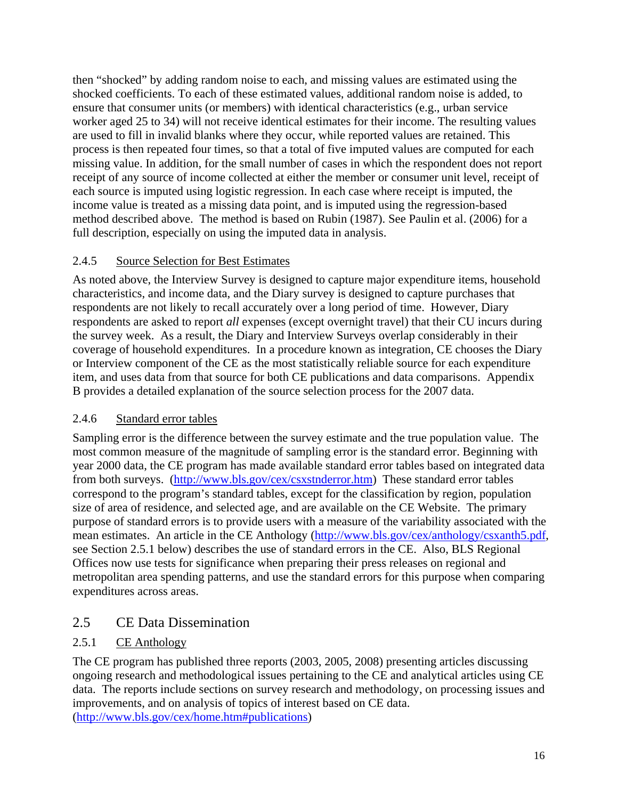then "shocked" by adding random noise to each, and missing values are estimated using the shocked coefficients. To each of these estimated values, additional random noise is added, to ensure that consumer units (or members) with identical characteristics (e.g., urban service worker aged 25 to 34) will not receive identical estimates for their income. The resulting values are used to fill in invalid blanks where they occur, while reported values are retained. This process is then repeated four times, so that a total of five imputed values are computed for each missing value. In addition, for the small number of cases in which the respondent does not report receipt of any source of income collected at either the member or consumer unit level, receipt of each source is imputed using logistic regression. In each case where receipt is imputed, the income value is treated as a missing data point, and is imputed using the regression-based method described above. The method is based on Rubin (1987). See Paulin et al. (2006) for a full description, especially on using the imputed data in analysis.

#### 2.4.5 Source Selection for Best Estimates

As noted above, the Interview Survey is designed to capture major expenditure items, household characteristics, and income data, and the Diary survey is designed to capture purchases that respondents are not likely to recall accurately over a long period of time. However, Diary respondents are asked to report *all* expenses (except overnight travel) that their CU incurs during the survey week. As a result, the Diary and Interview Surveys overlap considerably in their coverage of household expenditures. In a procedure known as integration, CE chooses the Diary or Interview component of the CE as the most statistically reliable source for each expenditure item, and uses data from that source for both CE publications and data comparisons. Appendix B provides a detailed explanation of the source selection process for the 2007 data.

#### 2.4.6 Standard error tables

Sampling error is the difference between the survey estimate and the true population value. The most common measure of the magnitude of sampling error is the standard error. Beginning with year 2000 data, the CE program has made available standard error tables based on integrated data from both surveys. (http://www.bls.gov/cex/csxstnderror.htm) These standard error tables correspond to the program's standard tables, except for the classification by region, population size of area of residence, and selected age, and are available on the CE Website. The primary purpose of standard errors is to provide users with a measure of the variability associated with the mean estimates. An article in the CE Anthology (http://www.bls.gov/cex/anthology/csxanth5.pdf, see Section 2.5.1 below) describes the use of standard errors in the CE. Also, BLS Regional Offices now use tests for significance when preparing their press releases on regional and metropolitan area spending patterns, and use the standard errors for this purpose when comparing expenditures across areas.

### 2.5 CE Data Dissemination

#### 2.5.1 CE Anthology

The CE program has published three reports (2003, 2005, 2008) presenting articles discussing ongoing research and methodological issues pertaining to the CE and analytical articles using CE data. The reports include sections on survey research and methodology, on processing issues and improvements, and on analysis of topics of interest based on CE data. (http://www.bls.gov/cex/home.htm#publications)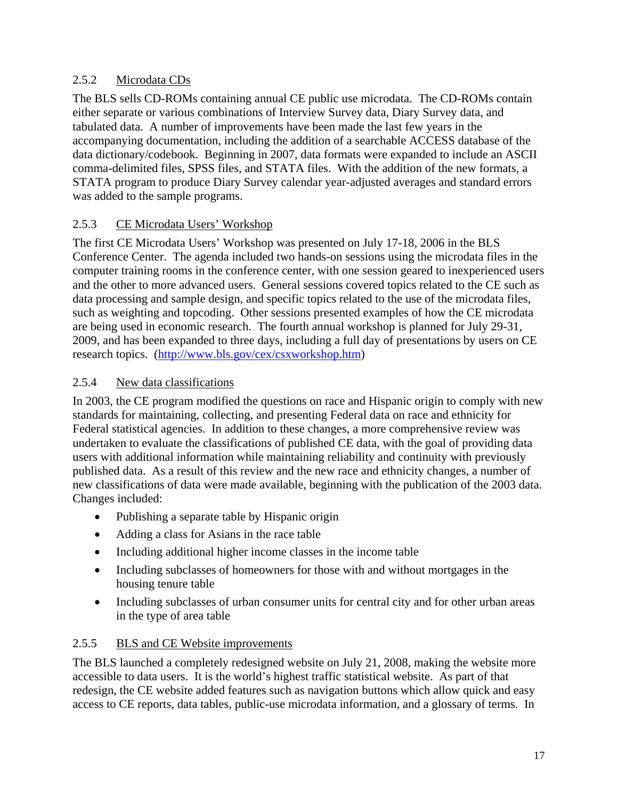#### 2.5.2 Microdata CDs

The BLS sells CD-ROMs containing annual CE public use microdata. The CD-ROMs contain either separate or various combinations of Interview Survey data, Diary Survey data, and tabulated data. A number of improvements have been made the last few years in the accompanying documentation, including the addition of a searchable ACCESS database of the data dictionary/codebook. Beginning in 2007, data formats were expanded to include an ASCII comma-delimited files, SPSS files, and STATA files. With the addition of the new formats, a STATA program to produce Diary Survey calendar year-adjusted averages and standard errors was added to the sample programs.

#### 2.5.3 CE Microdata Users' Workshop

The first CE Microdata Users' Workshop was presented on July 17-18, 2006 in the BLS Conference Center. The agenda included two hands-on sessions using the microdata files in the computer training rooms in the conference center, with one session geared to inexperienced users and the other to more advanced users. General sessions covered topics related to the CE such as data processing and sample design, and specific topics related to the use of the microdata files, such as weighting and topcoding. Other sessions presented examples of how the CE microdata are being used in economic research. The fourth annual workshop is planned for July 29-31, 2009, and has been expanded to three days, including a full day of presentations by users on CE research topics. (http://www.bls.gov/cex/csxworkshop.htm)

#### 2.5.4 New data classifications

In 2003, the CE program modified the questions on race and Hispanic origin to comply with new standards for maintaining, collecting, and presenting Federal data on race and ethnicity for Federal statistical agencies. In addition to these changes, a more comprehensive review was undertaken to evaluate the classifications of published CE data, with the goal of providing data users with additional information while maintaining reliability and continuity with previously published data. As a result of this review and the new race and ethnicity changes, a number of new classifications of data were made available, beginning with the publication of the 2003 data. Changes included:

- Publishing a separate table by Hispanic origin
- Adding a class for Asians in the race table
- Including additional higher income classes in the income table
- Including subclasses of homeowners for those with and without mortgages in the housing tenure table
- Including subclasses of urban consumer units for central city and for other urban areas in the type of area table

#### 2.5.5 BLS and CE Website improvements

The BLS launched a completely redesigned website on July 21, 2008, making the website more accessible to data users. It is the world's highest traffic statistical website. As part of that redesign, the CE website added features such as navigation buttons which allow quick and easy access to CE reports, data tables, public-use microdata information, and a glossary of terms. In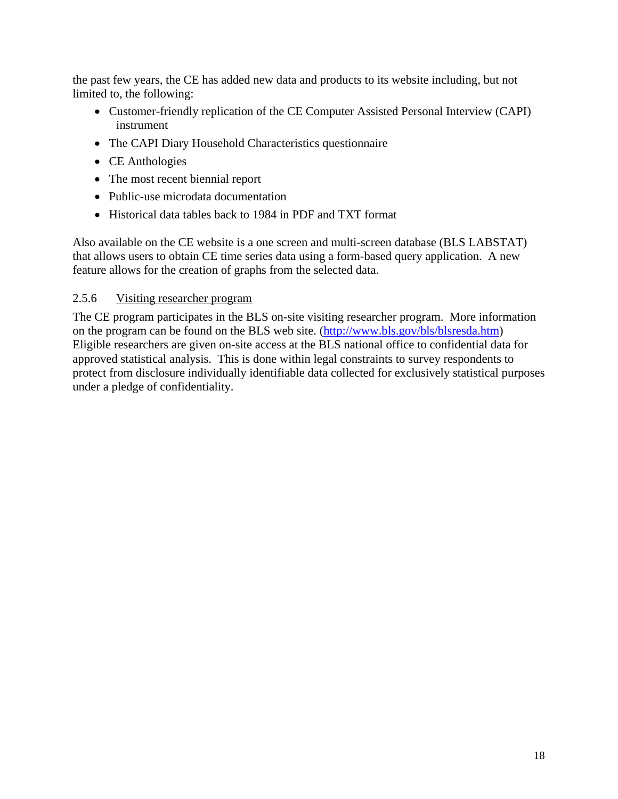the past few years, the CE has added new data and products to its website including, but not limited to, the following:

- Customer-friendly replication of the CE Computer Assisted Personal Interview (CAPI) instrument
- The CAPI Diary Household Characteristics questionnaire
- CE Anthologies
- The most recent biennial report
- Public-use microdata documentation
- Historical data tables back to 1984 in PDF and TXT format

Also available on the CE website is a one screen and multi-screen database (BLS LABSTAT) that allows users to obtain CE time series data using a form-based query application. A new feature allows for the creation of graphs from the selected data.

#### 2.5.6 Visiting researcher program

The CE program participates in the BLS on-site visiting researcher program. More information on the program can be found on the BLS web site. (http://www.bls.gov/bls/blsresda.htm) Eligible researchers are given on-site access at the BLS national office to confidential data for approved statistical analysis. This is done within legal constraints to survey respondents to protect from disclosure individually identifiable data collected for exclusively statistical purposes under a pledge of confidentiality.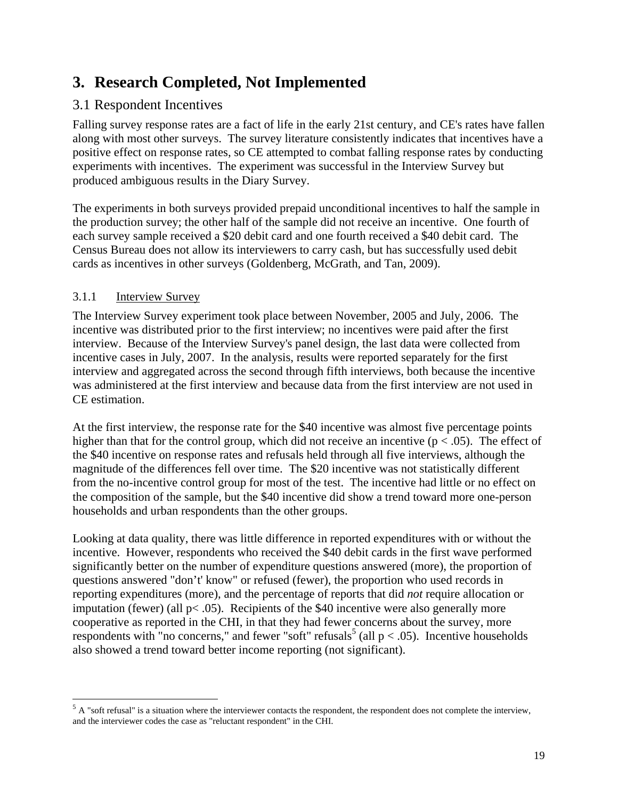# **3. Research Completed, Not Implemented**

### 3.1 Respondent Incentives

Falling survey response rates are a fact of life in the early 21st century, and CE's rates have fallen along with most other surveys. The survey literature consistently indicates that incentives have a positive effect on response rates, so CE attempted to combat falling response rates by conducting experiments with incentives. The experiment was successful in the Interview Survey but produced ambiguous results in the Diary Survey.

The experiments in both surveys provided prepaid unconditional incentives to half the sample in the production survey; the other half of the sample did not receive an incentive. One fourth of each survey sample received a \$20 debit card and one fourth received a \$40 debit card. The Census Bureau does not allow its interviewers to carry cash, but has successfully used debit cards as incentives in other surveys (Goldenberg, McGrath, and Tan, 2009).

#### 3.1.1 Interview Survey

The Interview Survey experiment took place between November, 2005 and July, 2006. The incentive was distributed prior to the first interview; no incentives were paid after the first interview. Because of the Interview Survey's panel design, the last data were collected from incentive cases in July, 2007. In the analysis, results were reported separately for the first interview and aggregated across the second through fifth interviews, both because the incentive was administered at the first interview and because data from the first interview are not used in CE estimation.

At the first interview, the response rate for the \$40 incentive was almost five percentage points higher than that for the control group, which did not receive an incentive ( $p < .05$ ). The effect of the \$40 incentive on response rates and refusals held through all five interviews, although the magnitude of the differences fell over time. The \$20 incentive was not statistically different from the no-incentive control group for most of the test. The incentive had little or no effect on the composition of the sample, but the \$40 incentive did show a trend toward more one-person households and urban respondents than the other groups.

Looking at data quality, there was little difference in reported expenditures with or without the incentive. However, respondents who received the \$40 debit cards in the first wave performed significantly better on the number of expenditure questions answered (more), the proportion of questions answered "don't' know" or refused (fewer), the proportion who used records in reporting expenditures (more), and the percentage of reports that did *not* require allocation or imputation (fewer) (all  $p< .05$ ). Recipients of the \$40 incentive were also generally more cooperative as reported in the CHI, in that they had fewer concerns about the survey, more respondents with "no concerns," and fewer "soft" refusals<sup>5</sup> (all  $p < .05$ ). Incentive households also showed a trend toward better income reporting (not significant).

  $5$  A "soft refusal" is a situation where the interviewer contacts the respondent, the respondent does not complete the interview, and the interviewer codes the case as "reluctant respondent" in the CHI.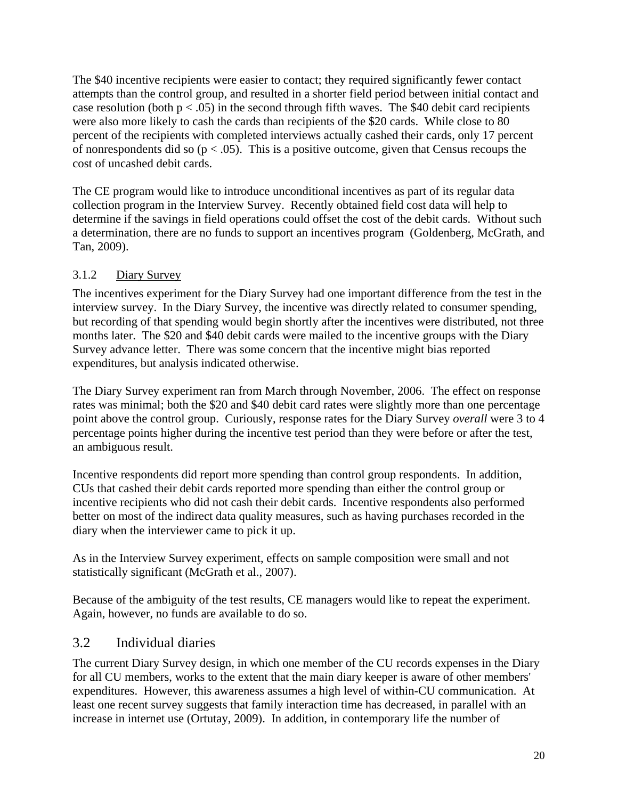The \$40 incentive recipients were easier to contact; they required significantly fewer contact attempts than the control group, and resulted in a shorter field period between initial contact and case resolution (both  $p < .05$ ) in the second through fifth waves. The \$40 debit card recipients were also more likely to cash the cards than recipients of the \$20 cards. While close to 80 percent of the recipients with completed interviews actually cashed their cards, only 17 percent of nonrespondents did so  $(p < .05)$ . This is a positive outcome, given that Census recoups the cost of uncashed debit cards.

The CE program would like to introduce unconditional incentives as part of its regular data collection program in the Interview Survey. Recently obtained field cost data will help to determine if the savings in field operations could offset the cost of the debit cards. Without such a determination, there are no funds to support an incentives program (Goldenberg, McGrath, and Tan, 2009).

#### 3.1.2 Diary Survey

The incentives experiment for the Diary Survey had one important difference from the test in the interview survey. In the Diary Survey, the incentive was directly related to consumer spending, but recording of that spending would begin shortly after the incentives were distributed, not three months later. The \$20 and \$40 debit cards were mailed to the incentive groups with the Diary Survey advance letter. There was some concern that the incentive might bias reported expenditures, but analysis indicated otherwise.

The Diary Survey experiment ran from March through November, 2006. The effect on response rates was minimal; both the \$20 and \$40 debit card rates were slightly more than one percentage point above the control group. Curiously, response rates for the Diary Survey *overall* were 3 to 4 percentage points higher during the incentive test period than they were before or after the test, an ambiguous result.

Incentive respondents did report more spending than control group respondents. In addition, CUs that cashed their debit cards reported more spending than either the control group or incentive recipients who did not cash their debit cards. Incentive respondents also performed better on most of the indirect data quality measures, such as having purchases recorded in the diary when the interviewer came to pick it up.

As in the Interview Survey experiment, effects on sample composition were small and not statistically significant (McGrath et al., 2007).

Because of the ambiguity of the test results, CE managers would like to repeat the experiment. Again, however, no funds are available to do so.

#### 3.2 Individual diaries

The current Diary Survey design, in which one member of the CU records expenses in the Diary for all CU members, works to the extent that the main diary keeper is aware of other members' expenditures. However, this awareness assumes a high level of within-CU communication. At least one recent survey suggests that family interaction time has decreased, in parallel with an increase in internet use (Ortutay, 2009). In addition, in contemporary life the number of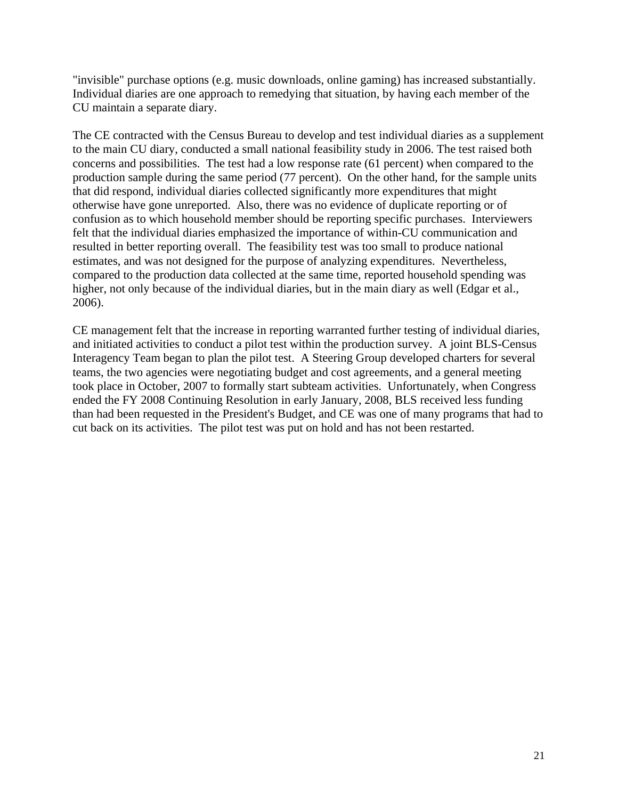"invisible" purchase options (e.g. music downloads, online gaming) has increased substantially. Individual diaries are one approach to remedying that situation, by having each member of the CU maintain a separate diary.

The CE contracted with the Census Bureau to develop and test individual diaries as a supplement to the main CU diary, conducted a small national feasibility study in 2006. The test raised both concerns and possibilities. The test had a low response rate (61 percent) when compared to the production sample during the same period (77 percent). On the other hand, for the sample units that did respond, individual diaries collected significantly more expenditures that might otherwise have gone unreported. Also, there was no evidence of duplicate reporting or of confusion as to which household member should be reporting specific purchases. Interviewers felt that the individual diaries emphasized the importance of within-CU communication and resulted in better reporting overall. The feasibility test was too small to produce national estimates, and was not designed for the purpose of analyzing expenditures. Nevertheless, compared to the production data collected at the same time, reported household spending was higher, not only because of the individual diaries, but in the main diary as well (Edgar et al., 2006).

CE management felt that the increase in reporting warranted further testing of individual diaries, and initiated activities to conduct a pilot test within the production survey. A joint BLS-Census Interagency Team began to plan the pilot test. A Steering Group developed charters for several teams, the two agencies were negotiating budget and cost agreements, and a general meeting took place in October, 2007 to formally start subteam activities. Unfortunately, when Congress ended the FY 2008 Continuing Resolution in early January, 2008, BLS received less funding than had been requested in the President's Budget, and CE was one of many programs that had to cut back on its activities. The pilot test was put on hold and has not been restarted.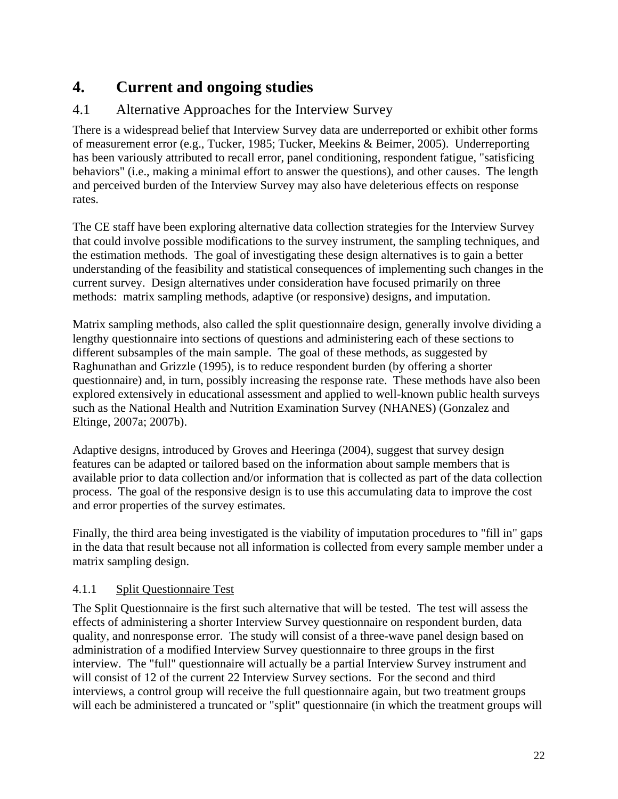# **4. Current and ongoing studies**

### 4.1 Alternative Approaches for the Interview Survey

There is a widespread belief that Interview Survey data are underreported or exhibit other forms of measurement error (e.g., Tucker, 1985; Tucker, Meekins & Beimer, 2005). Underreporting has been variously attributed to recall error, panel conditioning, respondent fatigue, "satisficing behaviors" (i.e., making a minimal effort to answer the questions), and other causes. The length and perceived burden of the Interview Survey may also have deleterious effects on response rates.

The CE staff have been exploring alternative data collection strategies for the Interview Survey that could involve possible modifications to the survey instrument, the sampling techniques, and the estimation methods. The goal of investigating these design alternatives is to gain a better understanding of the feasibility and statistical consequences of implementing such changes in the current survey. Design alternatives under consideration have focused primarily on three methods: matrix sampling methods, adaptive (or responsive) designs, and imputation.

Matrix sampling methods, also called the split questionnaire design, generally involve dividing a lengthy questionnaire into sections of questions and administering each of these sections to different subsamples of the main sample. The goal of these methods, as suggested by Raghunathan and Grizzle (1995), is to reduce respondent burden (by offering a shorter questionnaire) and, in turn, possibly increasing the response rate. These methods have also been explored extensively in educational assessment and applied to well-known public health surveys such as the National Health and Nutrition Examination Survey (NHANES) (Gonzalez and Eltinge, 2007a; 2007b).

Adaptive designs, introduced by Groves and Heeringa (2004), suggest that survey design features can be adapted or tailored based on the information about sample members that is available prior to data collection and/or information that is collected as part of the data collection process. The goal of the responsive design is to use this accumulating data to improve the cost and error properties of the survey estimates.

Finally, the third area being investigated is the viability of imputation procedures to "fill in" gaps in the data that result because not all information is collected from every sample member under a matrix sampling design.

#### 4.1.1 Split Questionnaire Test

The Split Questionnaire is the first such alternative that will be tested. The test will assess the effects of administering a shorter Interview Survey questionnaire on respondent burden, data quality, and nonresponse error. The study will consist of a three-wave panel design based on administration of a modified Interview Survey questionnaire to three groups in the first interview. The "full" questionnaire will actually be a partial Interview Survey instrument and will consist of 12 of the current 22 Interview Survey sections. For the second and third interviews, a control group will receive the full questionnaire again, but two treatment groups will each be administered a truncated or "split" questionnaire (in which the treatment groups will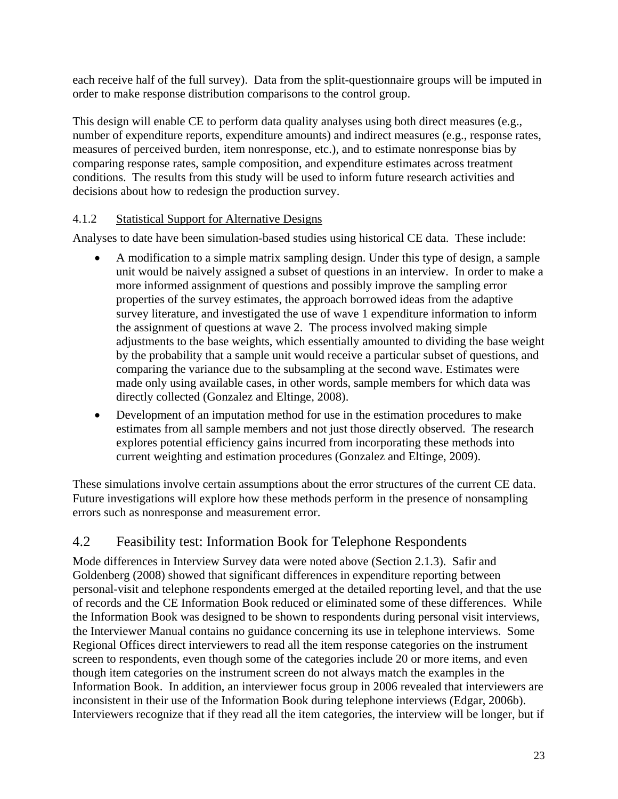each receive half of the full survey). Data from the split-questionnaire groups will be imputed in order to make response distribution comparisons to the control group.

This design will enable CE to perform data quality analyses using both direct measures (e.g., number of expenditure reports, expenditure amounts) and indirect measures (e.g., response rates, measures of perceived burden, item nonresponse, etc.), and to estimate nonresponse bias by comparing response rates, sample composition, and expenditure estimates across treatment conditions. The results from this study will be used to inform future research activities and decisions about how to redesign the production survey.

#### 4.1.2 Statistical Support for Alternative Designs

Analyses to date have been simulation-based studies using historical CE data. These include:

- A modification to a simple matrix sampling design. Under this type of design, a sample unit would be naively assigned a subset of questions in an interview. In order to make a more informed assignment of questions and possibly improve the sampling error properties of the survey estimates, the approach borrowed ideas from the adaptive survey literature, and investigated the use of wave 1 expenditure information to inform the assignment of questions at wave 2. The process involved making simple adjustments to the base weights, which essentially amounted to dividing the base weight by the probability that a sample unit would receive a particular subset of questions, and comparing the variance due to the subsampling at the second wave. Estimates were made only using available cases, in other words, sample members for which data was directly collected (Gonzalez and Eltinge, 2008).
- Development of an imputation method for use in the estimation procedures to make estimates from all sample members and not just those directly observed. The research explores potential efficiency gains incurred from incorporating these methods into current weighting and estimation procedures (Gonzalez and Eltinge, 2009).

These simulations involve certain assumptions about the error structures of the current CE data. Future investigations will explore how these methods perform in the presence of nonsampling errors such as nonresponse and measurement error.

### 4.2 Feasibility test: Information Book for Telephone Respondents

Mode differences in Interview Survey data were noted above (Section 2.1.3). Safir and Goldenberg (2008) showed that significant differences in expenditure reporting between personal-visit and telephone respondents emerged at the detailed reporting level, and that the use of records and the CE Information Book reduced or eliminated some of these differences. While the Information Book was designed to be shown to respondents during personal visit interviews, the Interviewer Manual contains no guidance concerning its use in telephone interviews. Some Regional Offices direct interviewers to read all the item response categories on the instrument screen to respondents, even though some of the categories include 20 or more items, and even though item categories on the instrument screen do not always match the examples in the Information Book. In addition, an interviewer focus group in 2006 revealed that interviewers are inconsistent in their use of the Information Book during telephone interviews (Edgar, 2006b). Interviewers recognize that if they read all the item categories, the interview will be longer, but if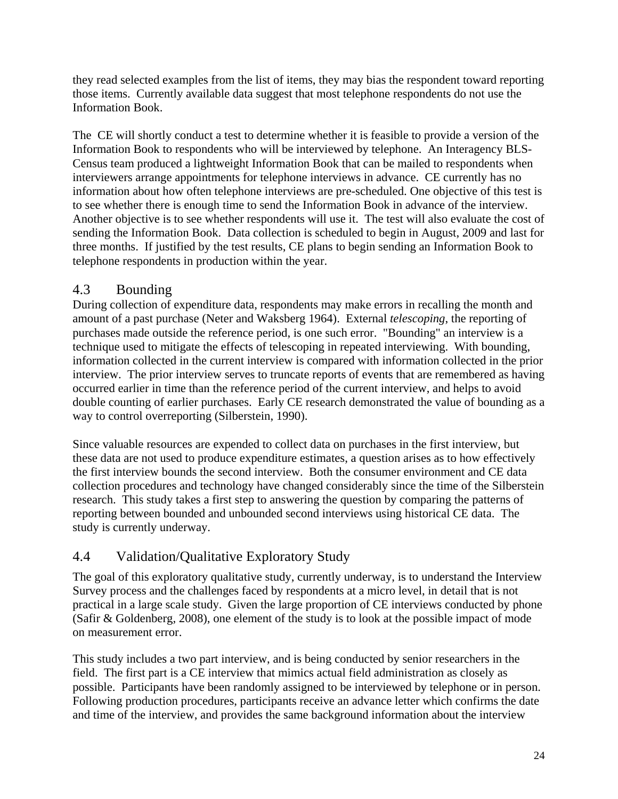they read selected examples from the list of items, they may bias the respondent toward reporting those items. Currently available data suggest that most telephone respondents do not use the Information Book.

The CE will shortly conduct a test to determine whether it is feasible to provide a version of the Information Book to respondents who will be interviewed by telephone. An Interagency BLS-Census team produced a lightweight Information Book that can be mailed to respondents when interviewers arrange appointments for telephone interviews in advance. CE currently has no information about how often telephone interviews are pre-scheduled. One objective of this test is to see whether there is enough time to send the Information Book in advance of the interview. Another objective is to see whether respondents will use it. The test will also evaluate the cost of sending the Information Book. Data collection is scheduled to begin in August, 2009 and last for three months. If justified by the test results, CE plans to begin sending an Information Book to telephone respondents in production within the year.

#### 4.3 Bounding

During collection of expenditure data, respondents may make errors in recalling the month and amount of a past purchase (Neter and Waksberg 1964). External *telescoping*, the reporting of purchases made outside the reference period, is one such error. "Bounding" an interview is a technique used to mitigate the effects of telescoping in repeated interviewing. With bounding, information collected in the current interview is compared with information collected in the prior interview. The prior interview serves to truncate reports of events that are remembered as having occurred earlier in time than the reference period of the current interview, and helps to avoid double counting of earlier purchases. Early CE research demonstrated the value of bounding as a way to control overreporting (Silberstein, 1990).

Since valuable resources are expended to collect data on purchases in the first interview, but these data are not used to produce expenditure estimates, a question arises as to how effectively the first interview bounds the second interview. Both the consumer environment and CE data collection procedures and technology have changed considerably since the time of the Silberstein research. This study takes a first step to answering the question by comparing the patterns of reporting between bounded and unbounded second interviews using historical CE data. The study is currently underway.

### 4.4 Validation/Qualitative Exploratory Study

The goal of this exploratory qualitative study, currently underway, is to understand the Interview Survey process and the challenges faced by respondents at a micro level, in detail that is not practical in a large scale study. Given the large proportion of CE interviews conducted by phone (Safir & Goldenberg, 2008), one element of the study is to look at the possible impact of mode on measurement error.

This study includes a two part interview, and is being conducted by senior researchers in the field. The first part is a CE interview that mimics actual field administration as closely as possible. Participants have been randomly assigned to be interviewed by telephone or in person. Following production procedures, participants receive an advance letter which confirms the date and time of the interview, and provides the same background information about the interview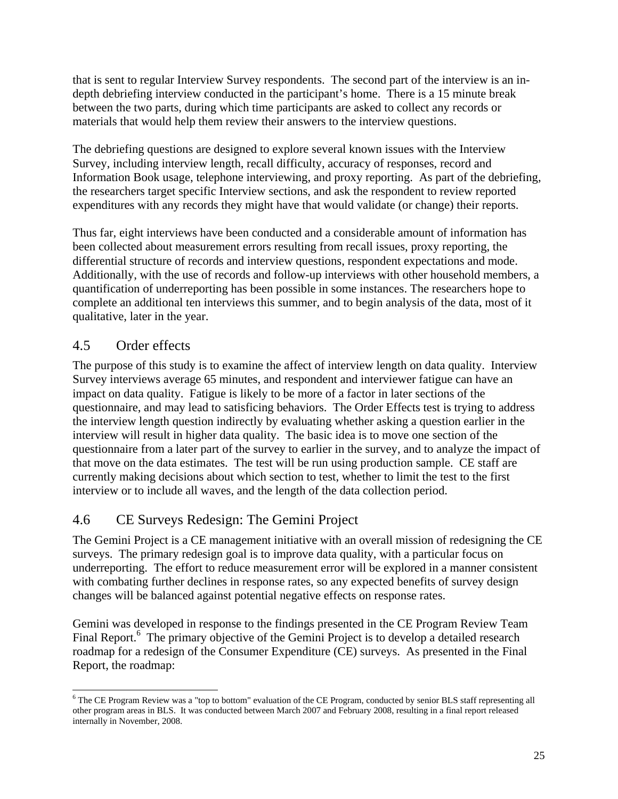that is sent to regular Interview Survey respondents. The second part of the interview is an indepth debriefing interview conducted in the participant's home. There is a 15 minute break between the two parts, during which time participants are asked to collect any records or materials that would help them review their answers to the interview questions.

The debriefing questions are designed to explore several known issues with the Interview Survey, including interview length, recall difficulty, accuracy of responses, record and Information Book usage, telephone interviewing, and proxy reporting. As part of the debriefing, the researchers target specific Interview sections, and ask the respondent to review reported expenditures with any records they might have that would validate (or change) their reports.

Thus far, eight interviews have been conducted and a considerable amount of information has been collected about measurement errors resulting from recall issues, proxy reporting, the differential structure of records and interview questions, respondent expectations and mode. Additionally, with the use of records and follow-up interviews with other household members, a quantification of underreporting has been possible in some instances. The researchers hope to complete an additional ten interviews this summer, and to begin analysis of the data, most of it qualitative, later in the year.

### 4.5 Order effects

 $\overline{a}$ 

The purpose of this study is to examine the affect of interview length on data quality. Interview Survey interviews average 65 minutes, and respondent and interviewer fatigue can have an impact on data quality. Fatigue is likely to be more of a factor in later sections of the questionnaire, and may lead to satisficing behaviors. The Order Effects test is trying to address the interview length question indirectly by evaluating whether asking a question earlier in the interview will result in higher data quality. The basic idea is to move one section of the questionnaire from a later part of the survey to earlier in the survey, and to analyze the impact of that move on the data estimates. The test will be run using production sample. CE staff are currently making decisions about which section to test, whether to limit the test to the first interview or to include all waves, and the length of the data collection period.

### 4.6 CE Surveys Redesign: The Gemini Project

The Gemini Project is a CE management initiative with an overall mission of redesigning the CE surveys. The primary redesign goal is to improve data quality, with a particular focus on underreporting. The effort to reduce measurement error will be explored in a manner consistent with combating further declines in response rates, so any expected benefits of survey design changes will be balanced against potential negative effects on response rates.

Gemini was developed in response to the findings presented in the CE Program Review Team Final Report.<sup>6</sup> The primary objective of the Gemini Project is to develop a detailed research roadmap for a redesign of the Consumer Expenditure (CE) surveys. As presented in the Final Report, the roadmap:

<sup>&</sup>lt;sup>6</sup> The CE Program Review was a "top to bottom" evaluation of the CE Program, conducted by senior BLS staff representing all other program areas in BLS. It was conducted between March 2007 and February 2008, resulting in a final report released internally in November, 2008.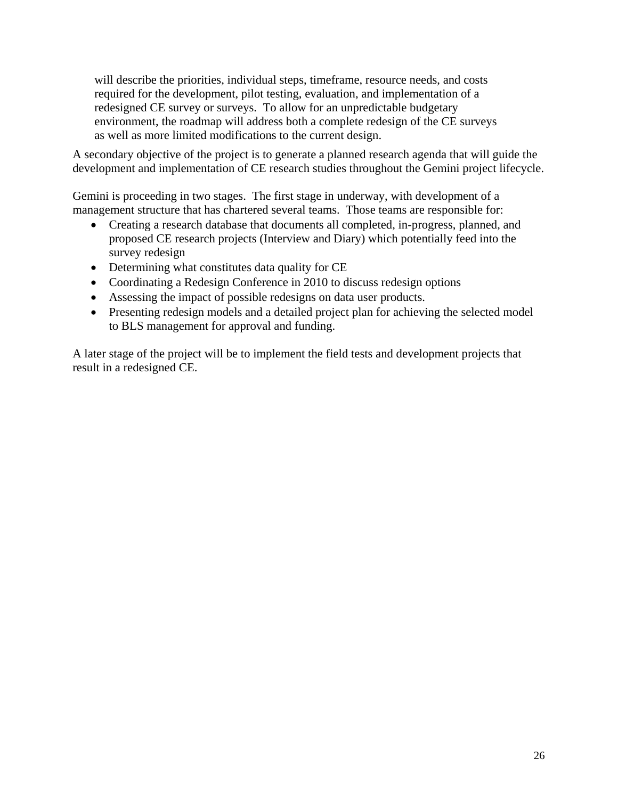will describe the priorities, individual steps, timeframe, resource needs, and costs required for the development, pilot testing, evaluation, and implementation of a redesigned CE survey or surveys. To allow for an unpredictable budgetary environment, the roadmap will address both a complete redesign of the CE surveys as well as more limited modifications to the current design.

A secondary objective of the project is to generate a planned research agenda that will guide the development and implementation of CE research studies throughout the Gemini project lifecycle.

Gemini is proceeding in two stages. The first stage in underway, with development of a management structure that has chartered several teams. Those teams are responsible for:

- Creating a research database that documents all completed, in-progress, planned, and proposed CE research projects (Interview and Diary) which potentially feed into the survey redesign
- Determining what constitutes data quality for CE
- Coordinating a Redesign Conference in 2010 to discuss redesign options
- Assessing the impact of possible redesigns on data user products.
- Presenting redesign models and a detailed project plan for achieving the selected model to BLS management for approval and funding.

A later stage of the project will be to implement the field tests and development projects that result in a redesigned CE.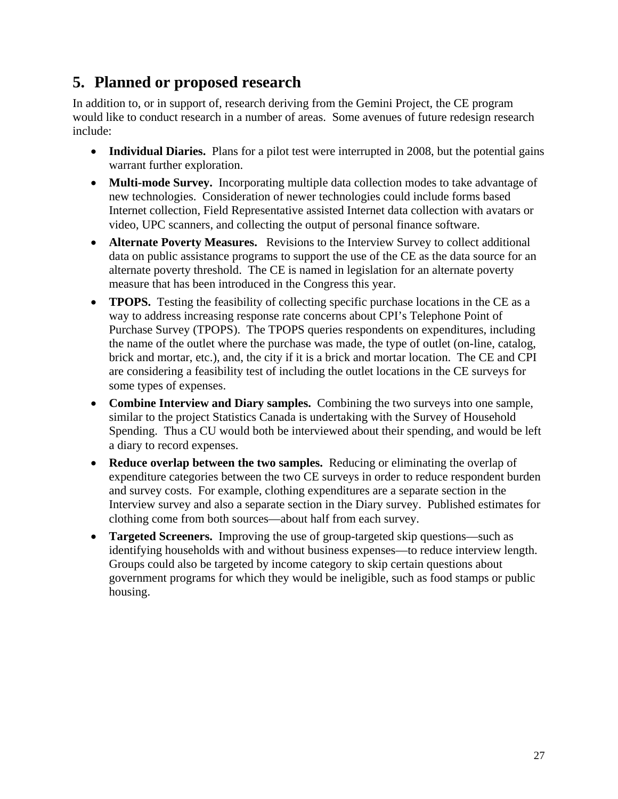# **5. Planned or proposed research**

In addition to, or in support of, research deriving from the Gemini Project, the CE program would like to conduct research in a number of areas. Some avenues of future redesign research include:

- Individual Diaries. Plans for a pilot test were interrupted in 2008, but the potential gains warrant further exploration.
- **Multi-mode Survey.** Incorporating multiple data collection modes to take advantage of new technologies. Consideration of newer technologies could include forms based Internet collection, Field Representative assisted Internet data collection with avatars or video, UPC scanners, and collecting the output of personal finance software.
- **Alternate Poverty Measures.** Revisions to the Interview Survey to collect additional data on public assistance programs to support the use of the CE as the data source for an alternate poverty threshold. The CE is named in legislation for an alternate poverty measure that has been introduced in the Congress this year.
- **TPOPS.** Testing the feasibility of collecting specific purchase locations in the CE as a way to address increasing response rate concerns about CPI's Telephone Point of Purchase Survey (TPOPS). The TPOPS queries respondents on expenditures, including the name of the outlet where the purchase was made, the type of outlet (on-line, catalog, brick and mortar, etc.), and, the city if it is a brick and mortar location. The CE and CPI are considering a feasibility test of including the outlet locations in the CE surveys for some types of expenses.
- **Combine Interview and Diary samples.** Combining the two surveys into one sample, similar to the project Statistics Canada is undertaking with the Survey of Household Spending. Thus a CU would both be interviewed about their spending, and would be left a diary to record expenses.
- **Reduce overlap between the two samples.** Reducing or eliminating the overlap of expenditure categories between the two CE surveys in order to reduce respondent burden and survey costs. For example, clothing expenditures are a separate section in the Interview survey and also a separate section in the Diary survey. Published estimates for clothing come from both sources—about half from each survey.
- **Targeted Screeners.** Improving the use of group-targeted skip questions—such as identifying households with and without business expenses—to reduce interview length. Groups could also be targeted by income category to skip certain questions about government programs for which they would be ineligible, such as food stamps or public housing.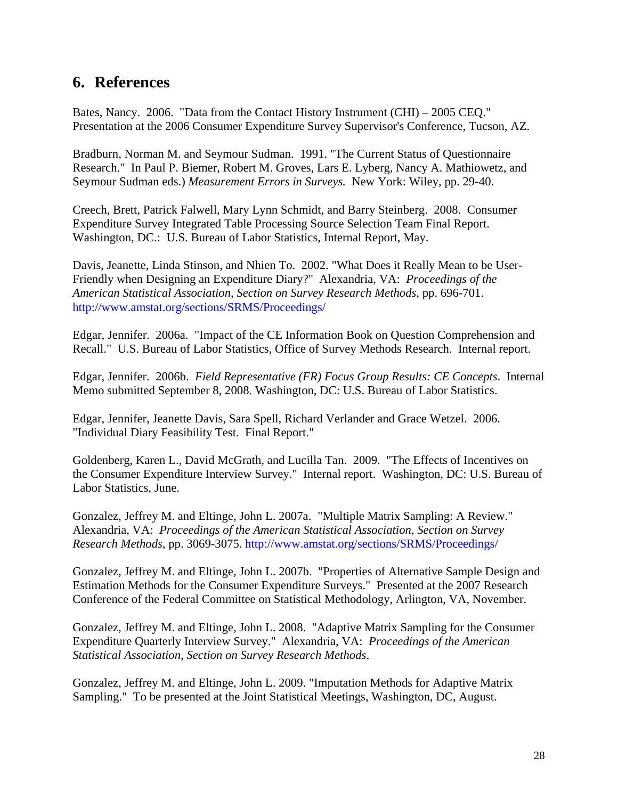### **6. References**

Bates, Nancy. 2006. "Data from the Contact History Instrument (CHI) – 2005 CEQ." Presentation at the 2006 Consumer Expenditure Survey Supervisor's Conference, Tucson, AZ.

Bradburn, Norman M. and Seymour Sudman. 1991. "The Current Status of Questionnaire Research." In Paul P. Biemer, Robert M. Groves, Lars E. Lyberg, Nancy A. Mathiowetz, and Seymour Sudman eds.) *Measurement Errors in Surveys.* New York: Wiley, pp. 29-40.

Creech, Brett, Patrick Falwell, Mary Lynn Schmidt, and Barry Steinberg. 2008. Consumer Expenditure Survey Integrated Table Processing Source Selection Team Final Report. Washington, DC.: U.S. Bureau of Labor Statistics, Internal Report, May.

Davis, Jeanette, Linda Stinson, and Nhien To. 2002. "What Does it Really Mean to be User-Friendly when Designing an Expenditure Diary?" Alexandria, VA: *Proceedings of the American Statistical Association, Section on Survey Research Methods*, pp. 696-701. http://www.amstat.org/sections/SRMS/Proceedings/

Edgar, Jennifer. 2006a. "Impact of the CE Information Book on Question Comprehension and Recall." U.S. Bureau of Labor Statistics, Office of Survey Methods Research. Internal report.

Edgar, Jennifer. 2006b. *Field Representative (FR) Focus Group Results: CE Concepts*. Internal Memo submitted September 8, 2008. Washington, DC: U.S. Bureau of Labor Statistics.

Edgar, Jennifer, Jeanette Davis, Sara Spell, Richard Verlander and Grace Wetzel. 2006. "Individual Diary Feasibility Test. Final Report."

Goldenberg, Karen L., David McGrath, and Lucilla Tan. 2009. "The Effects of Incentives on the Consumer Expenditure Interview Survey." Internal report. Washington, DC: U.S. Bureau of Labor Statistics, June.

Gonzalez, Jeffrey M. and Eltinge, John L. 2007a. "Multiple Matrix Sampling: A Review." Alexandria, VA: *Proceedings of the American Statistical Association, Section on Survey Research Methods*, pp. 3069-3075. http://www.amstat.org/sections/SRMS/Proceedings/

Gonzalez, Jeffrey M. and Eltinge, John L. 2007b. "Properties of Alternative Sample Design and Estimation Methods for the Consumer Expenditure Surveys." Presented at the 2007 Research Conference of the Federal Committee on Statistical Methodology, Arlington, VA, November.

Gonzalez, Jeffrey M. and Eltinge, John L. 2008. "Adaptive Matrix Sampling for the Consumer Expenditure Quarterly Interview Survey." Alexandria, VA: *Proceedings of the American Statistical Association, Section on Survey Research Methods*.

Gonzalez, Jeffrey M. and Eltinge, John L. 2009. "Imputation Methods for Adaptive Matrix Sampling." To be presented at the Joint Statistical Meetings, Washington, DC, August.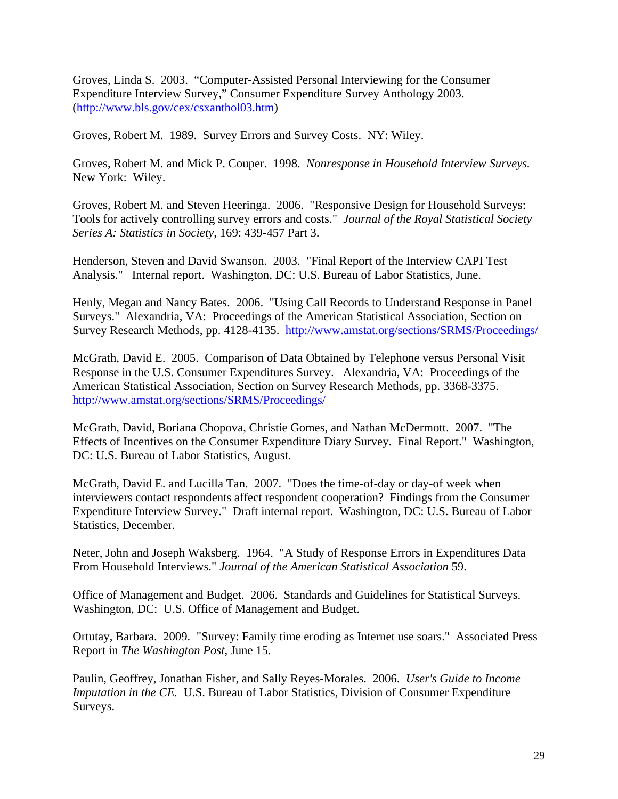Groves, Linda S. 2003. "Computer-Assisted Personal Interviewing for the Consumer Expenditure Interview Survey," Consumer Expenditure Survey Anthology 2003. (http://www.bls.gov/cex/csxanthol03.htm)

Groves, Robert M. 1989. Survey Errors and Survey Costs. NY: Wiley.

Groves, Robert M. and Mick P. Couper. 1998. *Nonresponse in Household Interview Surveys.* New York: Wiley.

Groves, Robert M. and Steven Heeringa. 2006. "Responsive Design for Household Surveys: Tools for actively controlling survey errors and costs." *Journal of the Royal Statistical Society Series A: Statistics in Society,* 169: 439-457 Part 3.

Henderson, Steven and David Swanson. 2003. "Final Report of the Interview CAPI Test Analysis." Internal report. Washington, DC: U.S. Bureau of Labor Statistics, June.

Henly, Megan and Nancy Bates. 2006. "Using Call Records to Understand Response in Panel Surveys." Alexandria, VA: Proceedings of the American Statistical Association, Section on Survey Research Methods, pp. 4128-4135. http://www.amstat.org/sections/SRMS/Proceedings/

McGrath, David E. 2005. Comparison of Data Obtained by Telephone versus Personal Visit Response in the U.S. Consumer Expenditures Survey. Alexandria, VA: Proceedings of the American Statistical Association, Section on Survey Research Methods, pp. 3368-3375. http://www.amstat.org/sections/SRMS/Proceedings/

McGrath, David, Boriana Chopova, Christie Gomes, and Nathan McDermott. 2007. "The Effects of Incentives on the Consumer Expenditure Diary Survey. Final Report." Washington, DC: U.S. Bureau of Labor Statistics, August.

McGrath, David E. and Lucilla Tan. 2007. "Does the time-of-day or day-of week when interviewers contact respondents affect respondent cooperation? Findings from the Consumer Expenditure Interview Survey." Draft internal report. Washington, DC: U.S. Bureau of Labor Statistics, December.

Neter, John and Joseph Waksberg. 1964. "A Study of Response Errors in Expenditures Data From Household Interviews." *Journal of the American Statistical Association* 59.

Office of Management and Budget. 2006. Standards and Guidelines for Statistical Surveys. Washington, DC: U.S. Office of Management and Budget.

Ortutay, Barbara. 2009. "Survey: Family time eroding as Internet use soars." Associated Press Report in *The Washington Post*, June 15.

Paulin, Geoffrey, Jonathan Fisher, and Sally Reyes-Morales. 2006. *User's Guide to Income Imputation in the CE.* U.S. Bureau of Labor Statistics, Division of Consumer Expenditure Surveys.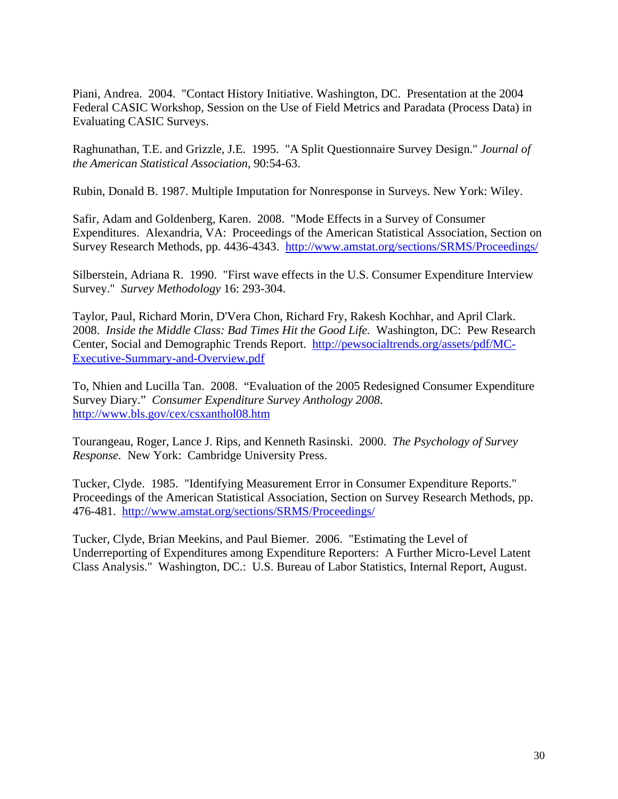Piani, Andrea. 2004. "Contact History Initiative. Washington, DC. Presentation at the 2004 Federal CASIC Workshop, Session on the Use of Field Metrics and Paradata (Process Data) in Evaluating CASIC Surveys.

Raghunathan, T.E. and Grizzle, J.E. 1995. "A Split Questionnaire Survey Design." *Journal of the American Statistical Association*, 90:54-63.

Rubin, Donald B. 1987. Multiple Imputation for Nonresponse in Surveys. New York: Wiley.

Safir, Adam and Goldenberg, Karen. 2008. "Mode Effects in a Survey of Consumer Expenditures. Alexandria, VA: Proceedings of the American Statistical Association, Section on Survey Research Methods, pp. 4436-4343. http://www.amstat.org/sections/SRMS/Proceedings/

Silberstein, Adriana R. 1990. "First wave effects in the U.S. Consumer Expenditure Interview Survey." *Survey Methodology* 16: 293-304.

Taylor, Paul, Richard Morin, D'Vera Chon, Richard Fry, Rakesh Kochhar, and April Clark. 2008. *Inside the Middle Class: Bad Times Hit the Good Life.* Washington, DC: Pew Research Center, Social and Demographic Trends Report. http://pewsocialtrends.org/assets/pdf/MC-Executive-Summary-and-Overview.pdf

To, Nhien and Lucilla Tan. 2008. "Evaluation of the 2005 Redesigned Consumer Expenditure Survey Diary." *Consumer Expenditure Survey Anthology 2008*. http://www.bls.gov/cex/csxanthol08.htm

Tourangeau, Roger, Lance J. Rips, and Kenneth Rasinski. 2000. *The Psychology of Survey Response.* New York: Cambridge University Press.

Tucker, Clyde. 1985. "Identifying Measurement Error in Consumer Expenditure Reports." Proceedings of the American Statistical Association, Section on Survey Research Methods, pp. 476-481. http://www.amstat.org/sections/SRMS/Proceedings/

Tucker, Clyde, Brian Meekins, and Paul Biemer. 2006. "Estimating the Level of Underreporting of Expenditures among Expenditure Reporters: A Further Micro-Level Latent Class Analysis." Washington, DC.: U.S. Bureau of Labor Statistics, Internal Report, August.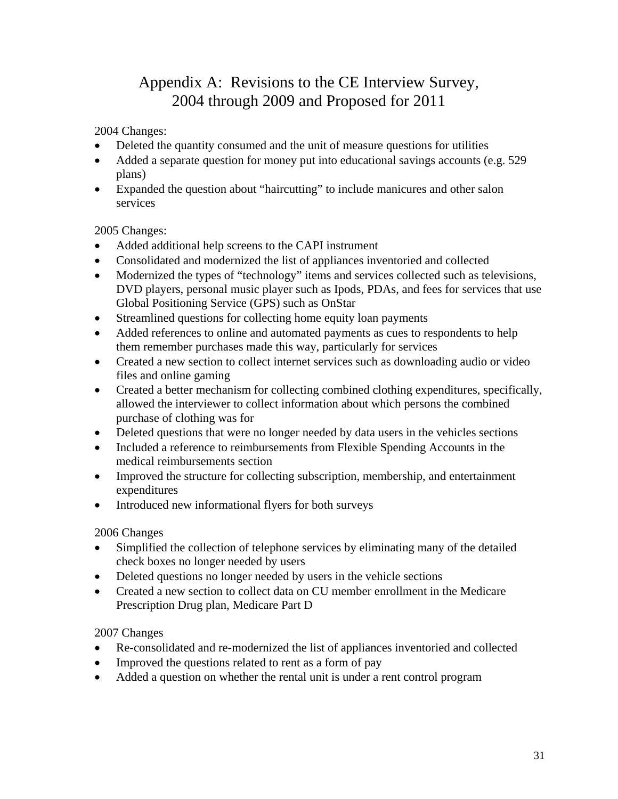# Appendix A: Revisions to the CE Interview Survey, 2004 through 2009 and Proposed for 2011

#### 2004 Changes:

- Deleted the quantity consumed and the unit of measure questions for utilities
- Added a separate question for money put into educational savings accounts (e.g. 529) plans)
- Expanded the question about "haircutting" to include manicures and other salon services

#### 2005 Changes:

- Added additional help screens to the CAPI instrument
- Consolidated and modernized the list of appliances inventoried and collected
- Modernized the types of "technology" items and services collected such as televisions, DVD players, personal music player such as Ipods, PDAs, and fees for services that use Global Positioning Service (GPS) such as OnStar
- Streamlined questions for collecting home equity loan payments
- Added references to online and automated payments as cues to respondents to help them remember purchases made this way, particularly for services
- Created a new section to collect internet services such as downloading audio or video files and online gaming
- Created a better mechanism for collecting combined clothing expenditures, specifically, allowed the interviewer to collect information about which persons the combined purchase of clothing was for
- Deleted questions that were no longer needed by data users in the vehicles sections
- Included a reference to reimbursements from Flexible Spending Accounts in the medical reimbursements section
- Improved the structure for collecting subscription, membership, and entertainment expenditures
- Introduced new informational flyers for both surveys

#### 2006 Changes

- Simplified the collection of telephone services by eliminating many of the detailed check boxes no longer needed by users
- Deleted questions no longer needed by users in the vehicle sections
- Created a new section to collect data on CU member enrollment in the Medicare Prescription Drug plan, Medicare Part D

#### 2007 Changes

- Re-consolidated and re-modernized the list of appliances inventoried and collected
- Improved the questions related to rent as a form of pay
- Added a question on whether the rental unit is under a rent control program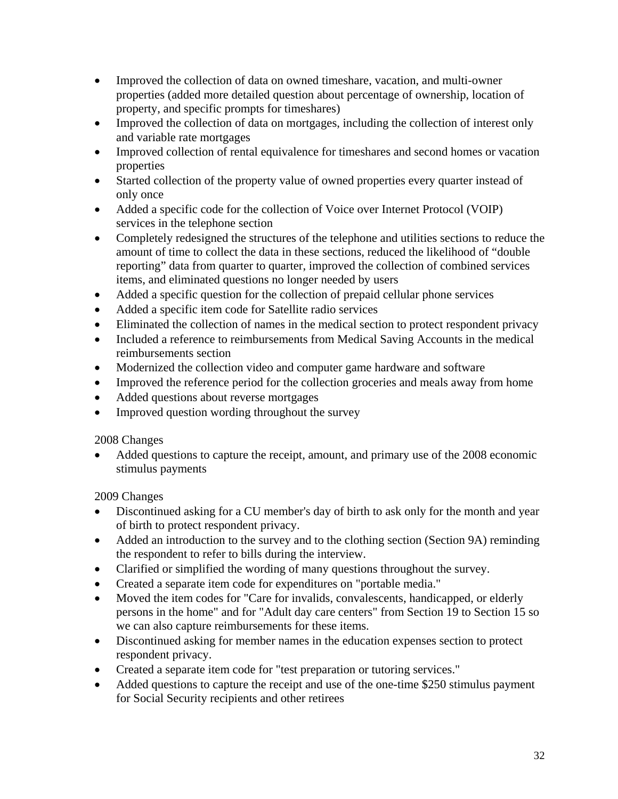- Improved the collection of data on owned timeshare, vacation, and multi-owner properties (added more detailed question about percentage of ownership, location of property, and specific prompts for timeshares)
- Improved the collection of data on mortgages, including the collection of interest only and variable rate mortgages
- Improved collection of rental equivalence for timeshares and second homes or vacation properties
- Started collection of the property value of owned properties every quarter instead of only once
- Added a specific code for the collection of Voice over Internet Protocol (VOIP) services in the telephone section
- Completely redesigned the structures of the telephone and utilities sections to reduce the amount of time to collect the data in these sections, reduced the likelihood of "double reporting" data from quarter to quarter, improved the collection of combined services items, and eliminated questions no longer needed by users
- Added a specific question for the collection of prepaid cellular phone services
- Added a specific item code for Satellite radio services
- Eliminated the collection of names in the medical section to protect respondent privacy
- Included a reference to reimbursements from Medical Saving Accounts in the medical reimbursements section
- Modernized the collection video and computer game hardware and software
- Improved the reference period for the collection groceries and meals away from home
- Added questions about reverse mortgages
- Improved question wording throughout the survey

#### 2008 Changes

 Added questions to capture the receipt, amount, and primary use of the 2008 economic stimulus payments

2009 Changes

- Discontinued asking for a CU member's day of birth to ask only for the month and year of birth to protect respondent privacy.
- Added an introduction to the survey and to the clothing section (Section 9A) reminding the respondent to refer to bills during the interview.
- Clarified or simplified the wording of many questions throughout the survey.
- Created a separate item code for expenditures on "portable media."
- Moved the item codes for "Care for invalids, convalescents, handicapped, or elderly persons in the home" and for "Adult day care centers" from Section 19 to Section 15 so we can also capture reimbursements for these items.
- Discontinued asking for member names in the education expenses section to protect respondent privacy.
- Created a separate item code for "test preparation or tutoring services."
- Added questions to capture the receipt and use of the one-time \$250 stimulus payment for Social Security recipients and other retirees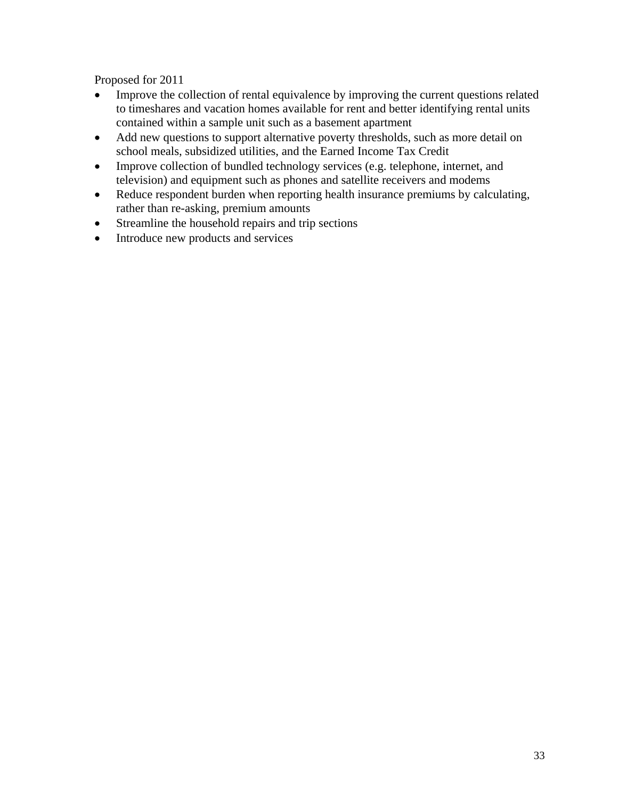Proposed for 2011

- Improve the collection of rental equivalence by improving the current questions related to timeshares and vacation homes available for rent and better identifying rental units contained within a sample unit such as a basement apartment
- Add new questions to support alternative poverty thresholds, such as more detail on school meals, subsidized utilities, and the Earned Income Tax Credit
- Improve collection of bundled technology services (e.g. telephone, internet, and television) and equipment such as phones and satellite receivers and modems
- Reduce respondent burden when reporting health insurance premiums by calculating, rather than re-asking, premium amounts
- Streamline the household repairs and trip sections
- Introduce new products and services